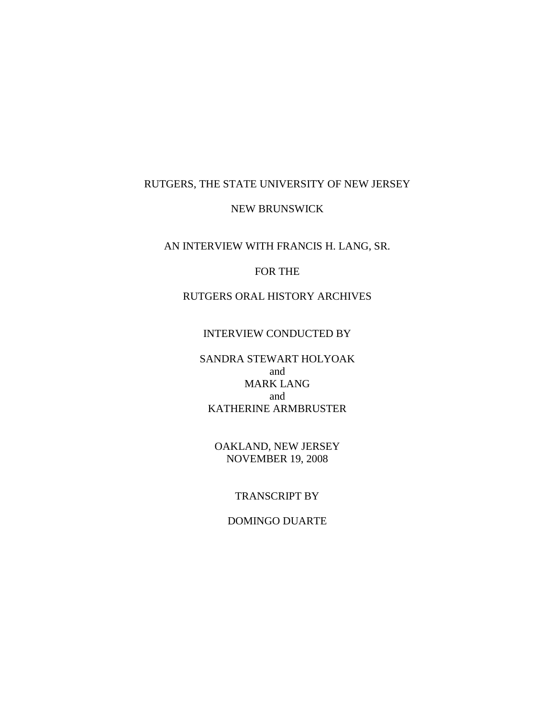## RUTGERS, THE STATE UNIVERSITY OF NEW JERSEY

#### NEW BRUNSWICK

AN INTERVIEW WITH FRANCIS H. LANG, SR.

# FOR THE

RUTGERS ORAL HISTORY ARCHIVES

## INTERVIEW CONDUCTED BY

SANDRA STEWART HOLYOAK and MARK LANG and KATHERINE ARMBRUSTER

OAKLAND, NEW JERSEY NOVEMBER 19, 2008

# TRANSCRIPT BY

## DOMINGO DUARTE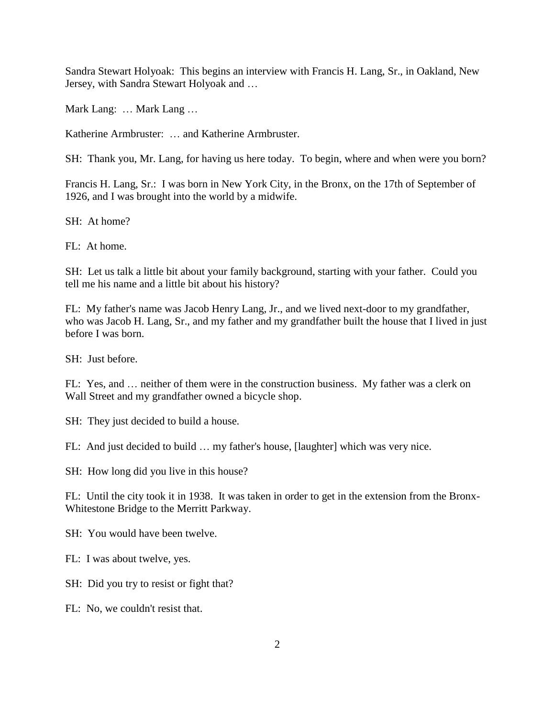Sandra Stewart Holyoak: This begins an interview with Francis H. Lang, Sr., in Oakland, New Jersey, with Sandra Stewart Holyoak and …

Mark Lang: … Mark Lang …

Katherine Armbruster: … and Katherine Armbruster.

SH: Thank you, Mr. Lang, for having us here today. To begin, where and when were you born?

Francis H. Lang, Sr.: I was born in New York City, in the Bronx, on the 17th of September of 1926, and I was brought into the world by a midwife.

SH: At home?

FL: At home.

SH: Let us talk a little bit about your family background, starting with your father. Could you tell me his name and a little bit about his history?

FL: My father's name was Jacob Henry Lang, Jr., and we lived next-door to my grandfather, who was Jacob H. Lang, Sr., and my father and my grandfather built the house that I lived in just before I was born.

SH: Just before.

FL: Yes, and … neither of them were in the construction business. My father was a clerk on Wall Street and my grandfather owned a bicycle shop.

SH: They just decided to build a house.

FL: And just decided to build … my father's house, [laughter] which was very nice.

SH: How long did you live in this house?

FL: Until the city took it in 1938. It was taken in order to get in the extension from the Bronx-Whitestone Bridge to the Merritt Parkway.

SH: You would have been twelve.

FL: I was about twelve, yes.

SH: Did you try to resist or fight that?

FL: No, we couldn't resist that.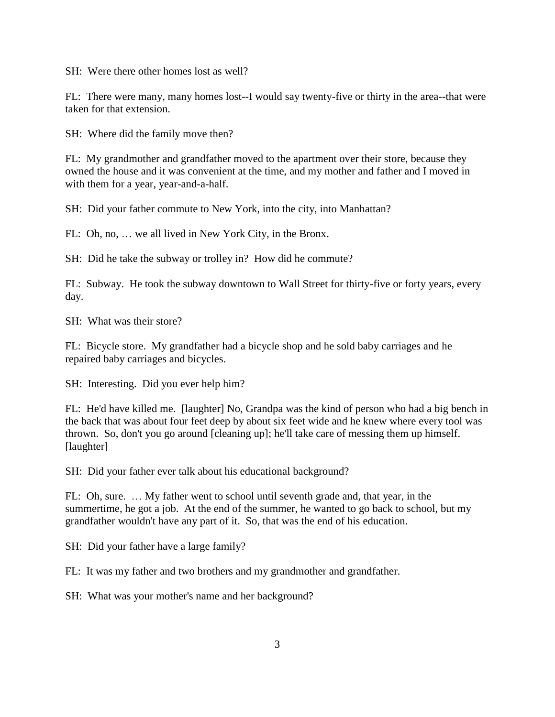SH: Were there other homes lost as well?

FL: There were many, many homes lost--I would say twenty-five or thirty in the area--that were taken for that extension.

SH: Where did the family move then?

FL: My grandmother and grandfather moved to the apartment over their store, because they owned the house and it was convenient at the time, and my mother and father and I moved in with them for a year, year-and-a-half.

SH: Did your father commute to New York, into the city, into Manhattan?

FL: Oh, no, … we all lived in New York City, in the Bronx.

SH: Did he take the subway or trolley in? How did he commute?

FL: Subway. He took the subway downtown to Wall Street for thirty-five or forty years, every day.

SH: What was their store?

FL: Bicycle store. My grandfather had a bicycle shop and he sold baby carriages and he repaired baby carriages and bicycles.

SH: Interesting. Did you ever help him?

FL: He'd have killed me. [laughter] No, Grandpa was the kind of person who had a big bench in the back that was about four feet deep by about six feet wide and he knew where every tool was thrown. So, don't you go around [cleaning up]; he'll take care of messing them up himself. [laughter]

SH: Did your father ever talk about his educational background?

FL: Oh, sure. … My father went to school until seventh grade and, that year, in the summertime, he got a job. At the end of the summer, he wanted to go back to school, but my grandfather wouldn't have any part of it. So, that was the end of his education.

SH: Did your father have a large family?

FL: It was my father and two brothers and my grandmother and grandfather.

SH: What was your mother's name and her background?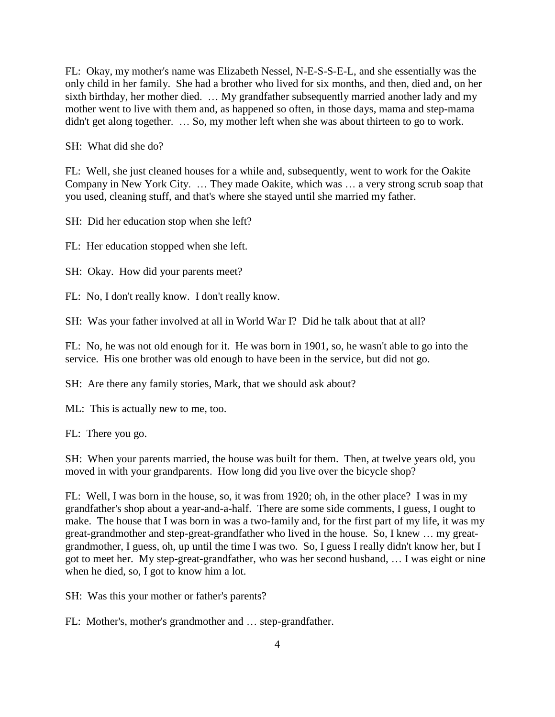FL: Okay, my mother's name was Elizabeth Nessel, N-E-S-S-E-L, and she essentially was the only child in her family. She had a brother who lived for six months, and then, died and, on her sixth birthday, her mother died. … My grandfather subsequently married another lady and my mother went to live with them and, as happened so often, in those days, mama and step-mama didn't get along together. … So, my mother left when she was about thirteen to go to work.

SH: What did she do?

FL: Well, she just cleaned houses for a while and, subsequently, went to work for the Oakite Company in New York City. … They made Oakite, which was … a very strong scrub soap that you used, cleaning stuff, and that's where she stayed until she married my father.

SH: Did her education stop when she left?

FL: Her education stopped when she left.

SH: Okay. How did your parents meet?

FL: No, I don't really know. I don't really know.

SH: Was your father involved at all in World War I? Did he talk about that at all?

FL: No, he was not old enough for it. He was born in 1901, so, he wasn't able to go into the service. His one brother was old enough to have been in the service, but did not go.

SH: Are there any family stories, Mark, that we should ask about?

ML: This is actually new to me, too.

FL: There you go.

SH: When your parents married, the house was built for them. Then, at twelve years old, you moved in with your grandparents. How long did you live over the bicycle shop?

FL: Well, I was born in the house, so, it was from 1920; oh, in the other place? I was in my grandfather's shop about a year-and-a-half. There are some side comments, I guess, I ought to make. The house that I was born in was a two-family and, for the first part of my life, it was my great-grandmother and step-great-grandfather who lived in the house. So, I knew … my greatgrandmother, I guess, oh, up until the time I was two. So, I guess I really didn't know her, but I got to meet her. My step-great-grandfather, who was her second husband, … I was eight or nine when he died, so, I got to know him a lot.

SH: Was this your mother or father's parents?

FL: Mother's, mother's grandmother and … step-grandfather.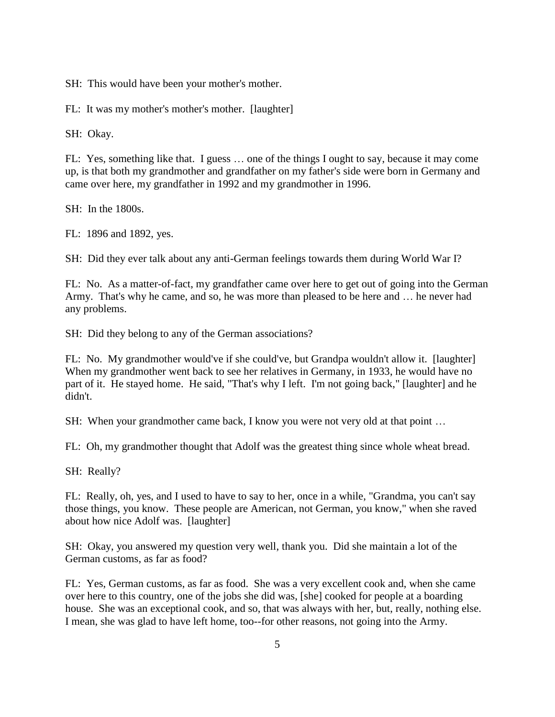SH: This would have been your mother's mother.

FL: It was my mother's mother's mother. [laughter]

SH: Okay.

FL: Yes, something like that. I guess … one of the things I ought to say, because it may come up, is that both my grandmother and grandfather on my father's side were born in Germany and came over here, my grandfather in 1992 and my grandmother in 1996.

SH: In the 1800s.

FL: 1896 and 1892, yes.

SH: Did they ever talk about any anti-German feelings towards them during World War I?

FL: No. As a matter-of-fact, my grandfather came over here to get out of going into the German Army. That's why he came, and so, he was more than pleased to be here and … he never had any problems.

SH: Did they belong to any of the German associations?

FL: No. My grandmother would've if she could've, but Grandpa wouldn't allow it. [laughter] When my grandmother went back to see her relatives in Germany, in 1933, he would have no part of it. He stayed home. He said, "That's why I left. I'm not going back," [laughter] and he didn't.

SH: When your grandmother came back, I know you were not very old at that point …

FL: Oh, my grandmother thought that Adolf was the greatest thing since whole wheat bread.

SH: Really?

FL: Really, oh, yes, and I used to have to say to her, once in a while, "Grandma, you can't say those things, you know. These people are American, not German, you know," when she raved about how nice Adolf was. [laughter]

SH: Okay, you answered my question very well, thank you. Did she maintain a lot of the German customs, as far as food?

FL: Yes, German customs, as far as food. She was a very excellent cook and, when she came over here to this country, one of the jobs she did was, [she] cooked for people at a boarding house. She was an exceptional cook, and so, that was always with her, but, really, nothing else. I mean, she was glad to have left home, too--for other reasons, not going into the Army.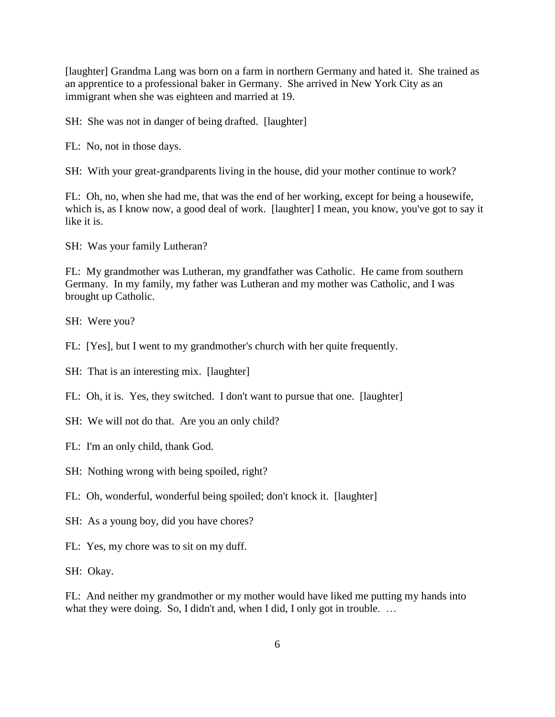[laughter] Grandma Lang was born on a farm in northern Germany and hated it. She trained as an apprentice to a professional baker in Germany. She arrived in New York City as an immigrant when she was eighteen and married at 19.

SH: She was not in danger of being drafted. [laughter]

FL: No, not in those days.

SH: With your great-grandparents living in the house, did your mother continue to work?

FL: Oh, no, when she had me, that was the end of her working, except for being a housewife, which is, as I know now, a good deal of work. [laughter] I mean, you know, you've got to say it like it is.

SH: Was your family Lutheran?

FL: My grandmother was Lutheran, my grandfather was Catholic. He came from southern Germany. In my family, my father was Lutheran and my mother was Catholic, and I was brought up Catholic.

SH: Were you?

FL: [Yes], but I went to my grandmother's church with her quite frequently.

SH: That is an interesting mix. [laughter]

FL: Oh, it is. Yes, they switched. I don't want to pursue that one. [laughter]

SH: We will not do that. Are you an only child?

FL: I'm an only child, thank God.

SH: Nothing wrong with being spoiled, right?

FL: Oh, wonderful, wonderful being spoiled; don't knock it. [laughter]

SH: As a young boy, did you have chores?

FL: Yes, my chore was to sit on my duff.

SH: Okay.

FL: And neither my grandmother or my mother would have liked me putting my hands into what they were doing. So, I didn't and, when I did, I only got in trouble. ...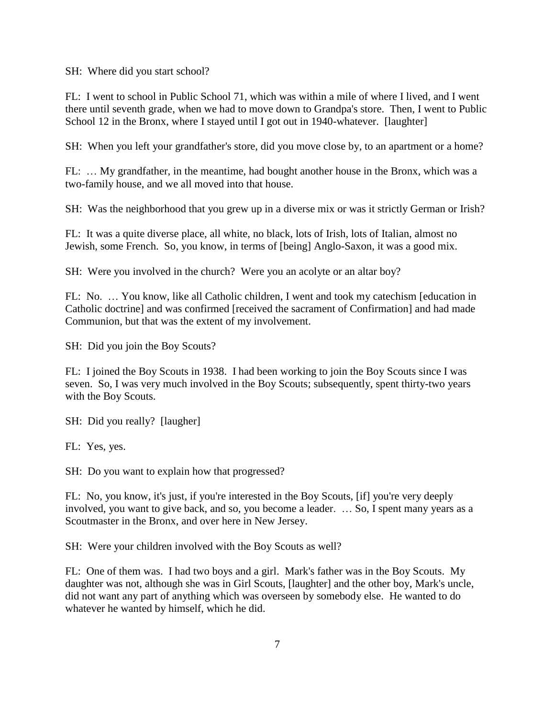SH: Where did you start school?

FL: I went to school in Public School 71, which was within a mile of where I lived, and I went there until seventh grade, when we had to move down to Grandpa's store. Then, I went to Public School 12 in the Bronx, where I stayed until I got out in 1940-whatever. [laughter]

SH: When you left your grandfather's store, did you move close by, to an apartment or a home?

FL: … My grandfather, in the meantime, had bought another house in the Bronx, which was a two-family house, and we all moved into that house.

SH: Was the neighborhood that you grew up in a diverse mix or was it strictly German or Irish?

FL: It was a quite diverse place, all white, no black, lots of Irish, lots of Italian, almost no Jewish, some French. So, you know, in terms of [being] Anglo-Saxon, it was a good mix.

SH: Were you involved in the church? Were you an acolyte or an altar boy?

FL: No. … You know, like all Catholic children, I went and took my catechism [education in Catholic doctrine] and was confirmed [received the sacrament of Confirmation] and had made Communion, but that was the extent of my involvement.

SH: Did you join the Boy Scouts?

FL: I joined the Boy Scouts in 1938. I had been working to join the Boy Scouts since I was seven. So, I was very much involved in the Boy Scouts; subsequently, spent thirty-two years with the Boy Scouts.

SH: Did you really? [laugher]

FL: Yes, yes.

SH: Do you want to explain how that progressed?

FL: No, you know, it's just, if you're interested in the Boy Scouts, [if] you're very deeply involved, you want to give back, and so, you become a leader. … So, I spent many years as a Scoutmaster in the Bronx, and over here in New Jersey.

SH: Were your children involved with the Boy Scouts as well?

FL: One of them was. I had two boys and a girl. Mark's father was in the Boy Scouts. My daughter was not, although she was in Girl Scouts, [laughter] and the other boy, Mark's uncle, did not want any part of anything which was overseen by somebody else. He wanted to do whatever he wanted by himself, which he did.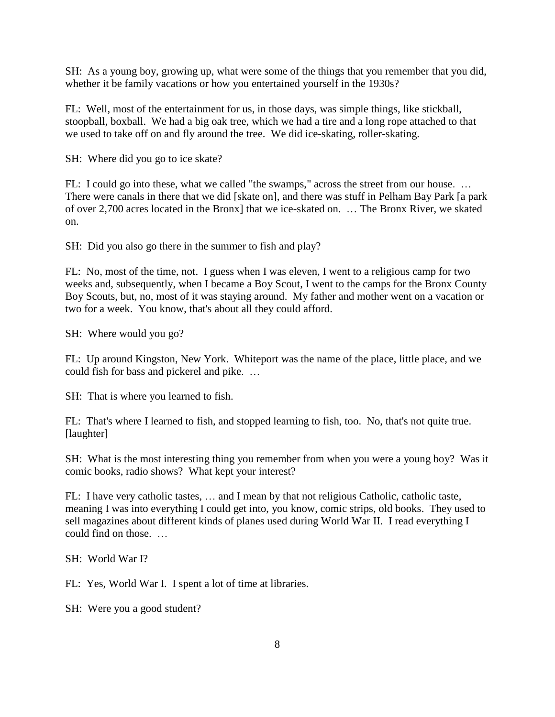SH: As a young boy, growing up, what were some of the things that you remember that you did, whether it be family vacations or how you entertained yourself in the 1930s?

FL: Well, most of the entertainment for us, in those days, was simple things, like stickball, stoopball, boxball. We had a big oak tree, which we had a tire and a long rope attached to that we used to take off on and fly around the tree. We did ice-skating, roller-skating.

SH: Where did you go to ice skate?

FL: I could go into these, what we called "the swamps," across the street from our house. ... There were canals in there that we did [skate on], and there was stuff in Pelham Bay Park [a park of over 2,700 acres located in the Bronx] that we ice-skated on. … The Bronx River, we skated on.

SH: Did you also go there in the summer to fish and play?

FL: No, most of the time, not. I guess when I was eleven, I went to a religious camp for two weeks and, subsequently, when I became a Boy Scout, I went to the camps for the Bronx County Boy Scouts, but, no, most of it was staying around. My father and mother went on a vacation or two for a week. You know, that's about all they could afford.

SH: Where would you go?

FL: Up around Kingston, New York. Whiteport was the name of the place, little place, and we could fish for bass and pickerel and pike. …

SH: That is where you learned to fish.

FL: That's where I learned to fish, and stopped learning to fish, too. No, that's not quite true. [laughter]

SH: What is the most interesting thing you remember from when you were a young boy? Was it comic books, radio shows? What kept your interest?

FL: I have very catholic tastes, … and I mean by that not religious Catholic, catholic taste, meaning I was into everything I could get into, you know, comic strips, old books. They used to sell magazines about different kinds of planes used during World War II. I read everything I could find on those.

SH: World War I?

FL: Yes, World War I. I spent a lot of time at libraries.

SH: Were you a good student?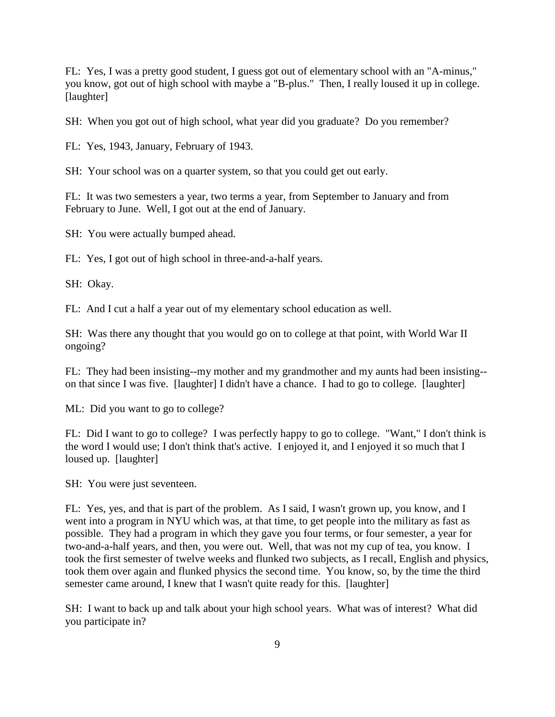FL: Yes, I was a pretty good student, I guess got out of elementary school with an "A-minus," you know, got out of high school with maybe a "B-plus." Then, I really loused it up in college. [laughter]

SH: When you got out of high school, what year did you graduate? Do you remember?

FL: Yes, 1943, January, February of 1943.

SH: Your school was on a quarter system, so that you could get out early.

FL: It was two semesters a year, two terms a year, from September to January and from February to June. Well, I got out at the end of January.

SH: You were actually bumped ahead.

FL: Yes, I got out of high school in three-and-a-half years.

SH: Okay.

FL: And I cut a half a year out of my elementary school education as well.

SH: Was there any thought that you would go on to college at that point, with World War II ongoing?

FL: They had been insisting--my mother and my grandmother and my aunts had been insisting- on that since I was five. [laughter] I didn't have a chance. I had to go to college. [laughter]

ML: Did you want to go to college?

FL: Did I want to go to college? I was perfectly happy to go to college. "Want," I don't think is the word I would use; I don't think that's active. I enjoyed it, and I enjoyed it so much that I loused up. [laughter]

SH: You were just seventeen.

FL: Yes, yes, and that is part of the problem. As I said, I wasn't grown up, you know, and I went into a program in NYU which was, at that time, to get people into the military as fast as possible. They had a program in which they gave you four terms, or four semester, a year for two-and-a-half years, and then, you were out. Well, that was not my cup of tea, you know. I took the first semester of twelve weeks and flunked two subjects, as I recall, English and physics, took them over again and flunked physics the second time. You know, so, by the time the third semester came around, I knew that I wasn't quite ready for this. [laughter]

SH: I want to back up and talk about your high school years. What was of interest? What did you participate in?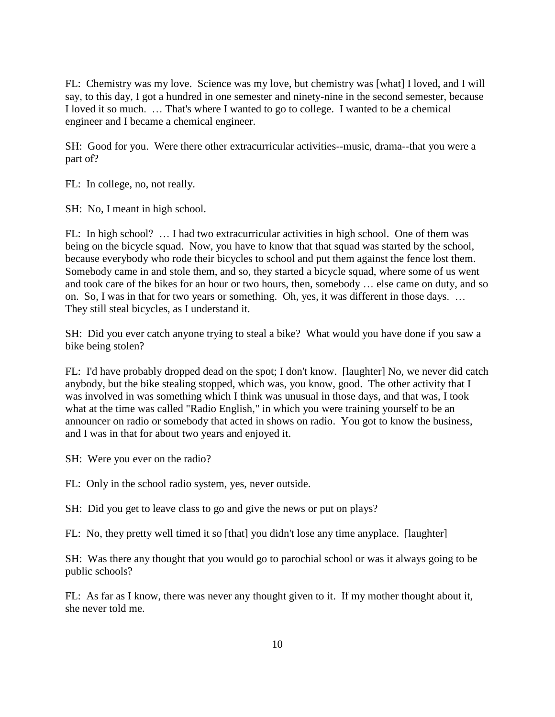FL: Chemistry was my love. Science was my love, but chemistry was [what] I loved, and I will say, to this day, I got a hundred in one semester and ninety-nine in the second semester, because I loved it so much. … That's where I wanted to go to college. I wanted to be a chemical engineer and I became a chemical engineer.

SH: Good for you. Were there other extracurricular activities--music, drama--that you were a part of?

FL: In college, no, not really.

SH: No, I meant in high school.

FL: In high school? … I had two extracurricular activities in high school. One of them was being on the bicycle squad. Now, you have to know that that squad was started by the school, because everybody who rode their bicycles to school and put them against the fence lost them. Somebody came in and stole them, and so, they started a bicycle squad, where some of us went and took care of the bikes for an hour or two hours, then, somebody … else came on duty, and so on. So, I was in that for two years or something. Oh, yes, it was different in those days. … They still steal bicycles, as I understand it.

SH: Did you ever catch anyone trying to steal a bike? What would you have done if you saw a bike being stolen?

FL: I'd have probably dropped dead on the spot; I don't know. [laughter] No, we never did catch anybody, but the bike stealing stopped, which was, you know, good. The other activity that I was involved in was something which I think was unusual in those days, and that was, I took what at the time was called "Radio English," in which you were training yourself to be an announcer on radio or somebody that acted in shows on radio. You got to know the business, and I was in that for about two years and enjoyed it.

SH: Were you ever on the radio?

FL: Only in the school radio system, yes, never outside.

SH: Did you get to leave class to go and give the news or put on plays?

FL: No, they pretty well timed it so [that] you didn't lose any time anyplace. [laughter]

SH: Was there any thought that you would go to parochial school or was it always going to be public schools?

FL: As far as I know, there was never any thought given to it. If my mother thought about it, she never told me.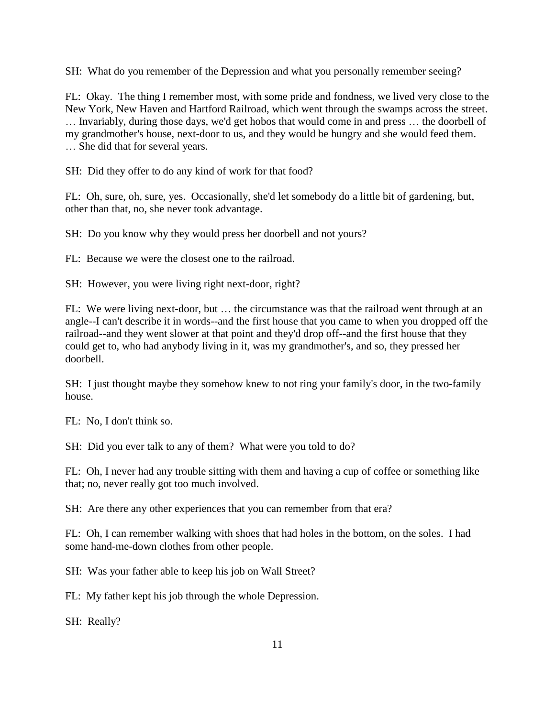SH: What do you remember of the Depression and what you personally remember seeing?

FL: Okay. The thing I remember most, with some pride and fondness, we lived very close to the New York, New Haven and Hartford Railroad, which went through the swamps across the street. … Invariably, during those days, we'd get hobos that would come in and press … the doorbell of my grandmother's house, next-door to us, and they would be hungry and she would feed them. … She did that for several years.

SH: Did they offer to do any kind of work for that food?

FL: Oh, sure, oh, sure, yes. Occasionally, she'd let somebody do a little bit of gardening, but, other than that, no, she never took advantage.

SH: Do you know why they would press her doorbell and not yours?

FL: Because we were the closest one to the railroad.

SH: However, you were living right next-door, right?

FL: We were living next-door, but … the circumstance was that the railroad went through at an angle--I can't describe it in words--and the first house that you came to when you dropped off the railroad--and they went slower at that point and they'd drop off--and the first house that they could get to, who had anybody living in it, was my grandmother's, and so, they pressed her doorbell.

SH: I just thought maybe they somehow knew to not ring your family's door, in the two-family house.

FL: No, I don't think so.

SH: Did you ever talk to any of them? What were you told to do?

FL: Oh, I never had any trouble sitting with them and having a cup of coffee or something like that; no, never really got too much involved.

SH: Are there any other experiences that you can remember from that era?

FL: Oh, I can remember walking with shoes that had holes in the bottom, on the soles. I had some hand-me-down clothes from other people.

SH: Was your father able to keep his job on Wall Street?

FL: My father kept his job through the whole Depression.

SH: Really?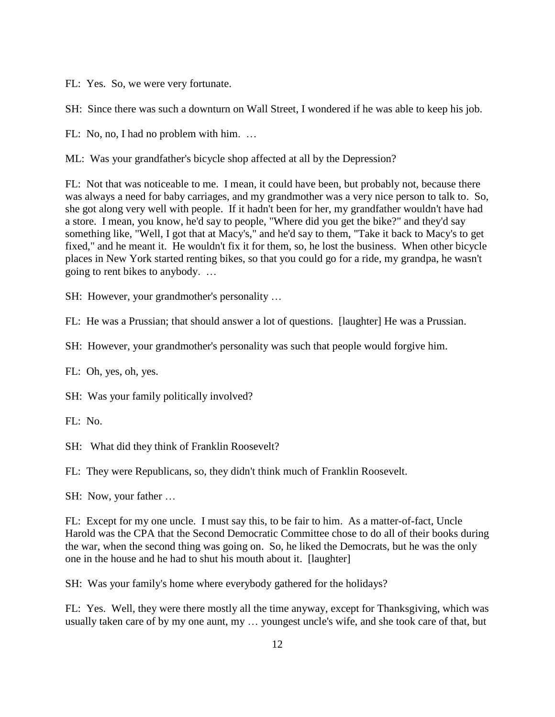FL: Yes. So, we were very fortunate.

SH: Since there was such a downturn on Wall Street, I wondered if he was able to keep his job.

FL: No, no, I had no problem with him. …

ML: Was your grandfather's bicycle shop affected at all by the Depression?

FL: Not that was noticeable to me. I mean, it could have been, but probably not, because there was always a need for baby carriages, and my grandmother was a very nice person to talk to. So, she got along very well with people. If it hadn't been for her, my grandfather wouldn't have had a store. I mean, you know, he'd say to people, "Where did you get the bike?" and they'd say something like, "Well, I got that at Macy's," and he'd say to them, "Take it back to Macy's to get fixed," and he meant it. He wouldn't fix it for them, so, he lost the business. When other bicycle places in New York started renting bikes, so that you could go for a ride, my grandpa, he wasn't going to rent bikes to anybody. …

SH: However, your grandmother's personality …

FL: He was a Prussian; that should answer a lot of questions. [laughter] He was a Prussian.

SH: However, your grandmother's personality was such that people would forgive him.

FL: Oh, yes, oh, yes.

SH: Was your family politically involved?

FL: No.

SH: What did they think of Franklin Roosevelt?

FL: They were Republicans, so, they didn't think much of Franklin Roosevelt.

SH: Now, your father …

FL: Except for my one uncle. I must say this, to be fair to him. As a matter-of-fact, Uncle Harold was the CPA that the Second Democratic Committee chose to do all of their books during the war, when the second thing was going on. So, he liked the Democrats, but he was the only one in the house and he had to shut his mouth about it. [laughter]

SH: Was your family's home where everybody gathered for the holidays?

FL: Yes. Well, they were there mostly all the time anyway, except for Thanksgiving, which was usually taken care of by my one aunt, my … youngest uncle's wife, and she took care of that, but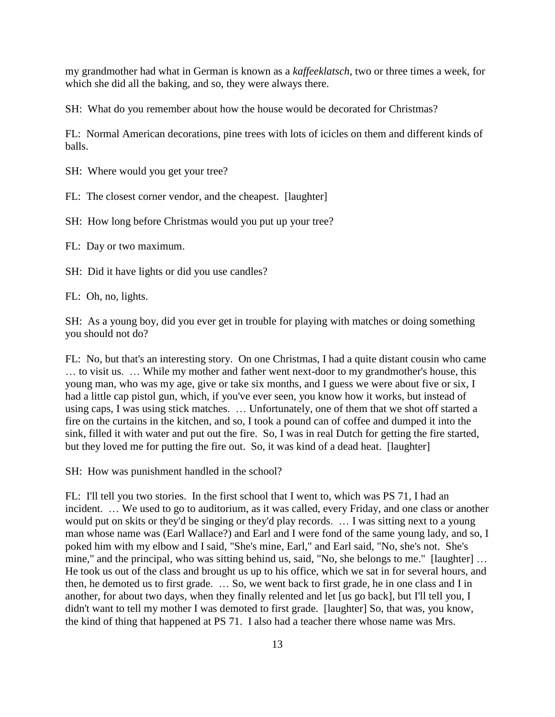my grandmother had what in German is known as a *kaffeeklatsch*, two or three times a week, for which she did all the baking, and so, they were always there.

SH: What do you remember about how the house would be decorated for Christmas?

FL: Normal American decorations, pine trees with lots of icicles on them and different kinds of balls.

SH: Where would you get your tree?

FL: The closest corner vendor, and the cheapest. [laughter]

SH: How long before Christmas would you put up your tree?

FL: Day or two maximum.

SH: Did it have lights or did you use candles?

FL: Oh, no, lights.

SH: As a young boy, did you ever get in trouble for playing with matches or doing something you should not do?

FL: No, but that's an interesting story. On one Christmas, I had a quite distant cousin who came … to visit us. … While my mother and father went next-door to my grandmother's house, this young man, who was my age, give or take six months, and I guess we were about five or six, I had a little cap pistol gun, which, if you've ever seen, you know how it works, but instead of using caps, I was using stick matches. … Unfortunately, one of them that we shot off started a fire on the curtains in the kitchen, and so, I took a pound can of coffee and dumped it into the sink, filled it with water and put out the fire. So, I was in real Dutch for getting the fire started, but they loved me for putting the fire out. So, it was kind of a dead heat. [laughter]

SH: How was punishment handled in the school?

FL: I'll tell you two stories. In the first school that I went to, which was PS 71, I had an incident. … We used to go to auditorium, as it was called, every Friday, and one class or another would put on skits or they'd be singing or they'd play records. … I was sitting next to a young man whose name was (Earl Wallace?) and Earl and I were fond of the same young lady, and so, I poked him with my elbow and I said, "She's mine, Earl," and Earl said, "No, she's not. She's mine," and the principal, who was sitting behind us, said, "No, she belongs to me." [laughter] … He took us out of the class and brought us up to his office, which we sat in for several hours, and then, he demoted us to first grade. … So, we went back to first grade, he in one class and I in another, for about two days, when they finally relented and let [us go back], but I'll tell you, I didn't want to tell my mother I was demoted to first grade. [laughter] So, that was, you know, the kind of thing that happened at PS 71. I also had a teacher there whose name was Mrs.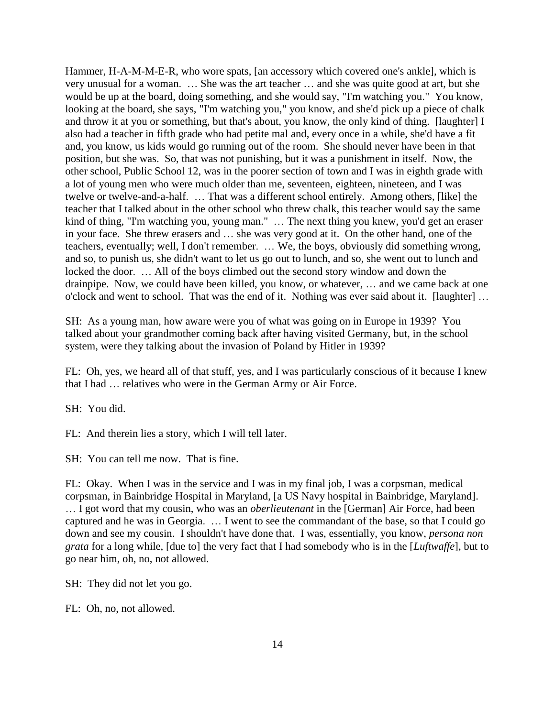Hammer, H-A-M-M-E-R, who wore spats, [an accessory which covered one's ankle], which is very unusual for a woman. … She was the art teacher … and she was quite good at art, but she would be up at the board, doing something, and she would say, "I'm watching you." You know, looking at the board, she says, "I'm watching you," you know, and she'd pick up a piece of chalk and throw it at you or something, but that's about, you know, the only kind of thing. [laughter] I also had a teacher in fifth grade who had petite mal and, every once in a while, she'd have a fit and, you know, us kids would go running out of the room. She should never have been in that position, but she was. So, that was not punishing, but it was a punishment in itself. Now, the other school, Public School 12, was in the poorer section of town and I was in eighth grade with a lot of young men who were much older than me, seventeen, eighteen, nineteen, and I was twelve or twelve-and-a-half. … That was a different school entirely. Among others, [like] the teacher that I talked about in the other school who threw chalk, this teacher would say the same kind of thing, "I'm watching you, young man." … The next thing you knew, you'd get an eraser in your face. She threw erasers and … she was very good at it. On the other hand, one of the teachers, eventually; well, I don't remember. … We, the boys, obviously did something wrong, and so, to punish us, she didn't want to let us go out to lunch, and so, she went out to lunch and locked the door. … All of the boys climbed out the second story window and down the drainpipe. Now, we could have been killed, you know, or whatever, … and we came back at one o'clock and went to school. That was the end of it. Nothing was ever said about it. [laughter] …

SH: As a young man, how aware were you of what was going on in Europe in 1939? You talked about your grandmother coming back after having visited Germany, but, in the school system, were they talking about the invasion of Poland by Hitler in 1939?

FL: Oh, yes, we heard all of that stuff, yes, and I was particularly conscious of it because I knew that I had … relatives who were in the German Army or Air Force.

SH: You did.

FL: And therein lies a story, which I will tell later.

SH: You can tell me now. That is fine.

FL: Okay. When I was in the service and I was in my final job, I was a corpsman, medical corpsman, in Bainbridge Hospital in Maryland, [a US Navy hospital in Bainbridge, Maryland]. … I got word that my cousin, who was an *oberlieutenant* in the [German] Air Force, had been captured and he was in Georgia. … I went to see the commandant of the base, so that I could go down and see my cousin. I shouldn't have done that. I was, essentially, you know, *persona non grata* for a long while, [due to] the very fact that I had somebody who is in the [*Luftwaffe*], but to go near him, oh, no, not allowed.

SH: They did not let you go.

FL: Oh, no, not allowed.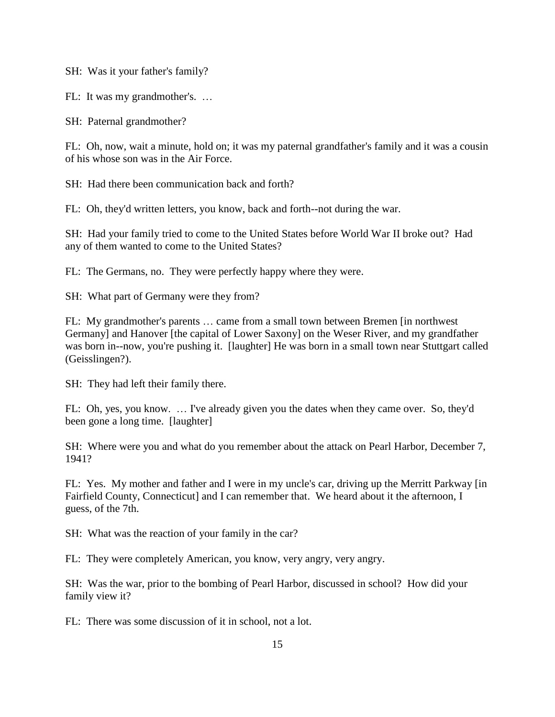SH: Was it your father's family?

FL: It was my grandmother's. …

SH: Paternal grandmother?

FL: Oh, now, wait a minute, hold on; it was my paternal grandfather's family and it was a cousin of his whose son was in the Air Force.

SH: Had there been communication back and forth?

FL: Oh, they'd written letters, you know, back and forth--not during the war.

SH: Had your family tried to come to the United States before World War II broke out? Had any of them wanted to come to the United States?

FL: The Germans, no. They were perfectly happy where they were.

SH: What part of Germany were they from?

FL: My grandmother's parents … came from a small town between Bremen [in northwest Germany] and Hanover [the capital of Lower Saxony] on the Weser River, and my grandfather was born in--now, you're pushing it. [laughter] He was born in a small town near Stuttgart called (Geisslingen?).

SH: They had left their family there.

FL: Oh, yes, you know. … I've already given you the dates when they came over. So, they'd been gone a long time. [laughter]

SH: Where were you and what do you remember about the attack on Pearl Harbor, December 7, 1941?

FL: Yes. My mother and father and I were in my uncle's car, driving up the Merritt Parkway [in Fairfield County, Connecticut] and I can remember that. We heard about it the afternoon, I guess, of the 7th.

SH: What was the reaction of your family in the car?

FL: They were completely American, you know, very angry, very angry.

SH: Was the war, prior to the bombing of Pearl Harbor, discussed in school? How did your family view it?

FL: There was some discussion of it in school, not a lot.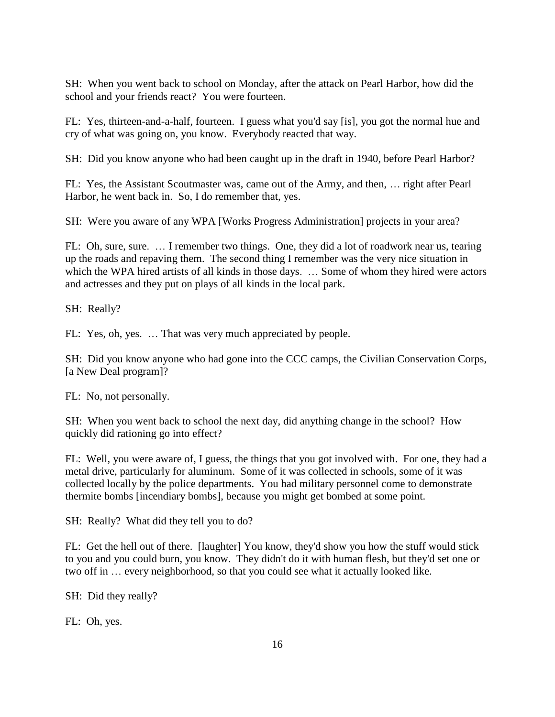SH: When you went back to school on Monday, after the attack on Pearl Harbor, how did the school and your friends react? You were fourteen.

FL: Yes, thirteen-and-a-half, fourteen. I guess what you'd say [is], you got the normal hue and cry of what was going on, you know. Everybody reacted that way.

SH: Did you know anyone who had been caught up in the draft in 1940, before Pearl Harbor?

FL: Yes, the Assistant Scoutmaster was, came out of the Army, and then, … right after Pearl Harbor, he went back in. So, I do remember that, yes.

SH: Were you aware of any WPA [Works Progress Administration] projects in your area?

FL: Oh, sure, sure. … I remember two things. One, they did a lot of roadwork near us, tearing up the roads and repaving them. The second thing I remember was the very nice situation in which the WPA hired artists of all kinds in those days. ... Some of whom they hired were actors and actresses and they put on plays of all kinds in the local park.

SH: Really?

FL: Yes, oh, yes. … That was very much appreciated by people.

SH: Did you know anyone who had gone into the CCC camps, the Civilian Conservation Corps, [a New Deal program]?

FL: No, not personally.

SH: When you went back to school the next day, did anything change in the school? How quickly did rationing go into effect?

FL: Well, you were aware of, I guess, the things that you got involved with. For one, they had a metal drive, particularly for aluminum. Some of it was collected in schools, some of it was collected locally by the police departments. You had military personnel come to demonstrate thermite bombs [incendiary bombs], because you might get bombed at some point.

SH: Really? What did they tell you to do?

FL: Get the hell out of there. [laughter] You know, they'd show you how the stuff would stick to you and you could burn, you know. They didn't do it with human flesh, but they'd set one or two off in … every neighborhood, so that you could see what it actually looked like.

SH: Did they really?

FL: Oh, yes.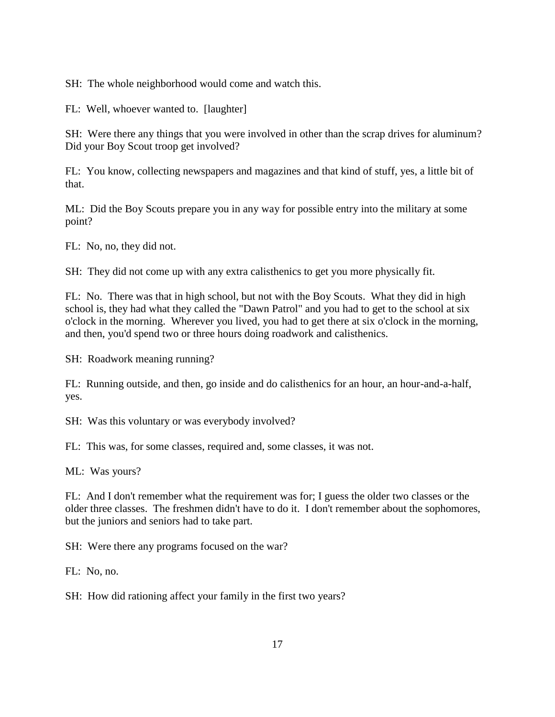SH: The whole neighborhood would come and watch this.

FL: Well, whoever wanted to. [laughter]

SH: Were there any things that you were involved in other than the scrap drives for aluminum? Did your Boy Scout troop get involved?

FL: You know, collecting newspapers and magazines and that kind of stuff, yes, a little bit of that.

ML: Did the Boy Scouts prepare you in any way for possible entry into the military at some point?

FL: No, no, they did not.

SH: They did not come up with any extra calisthenics to get you more physically fit.

FL: No. There was that in high school, but not with the Boy Scouts. What they did in high school is, they had what they called the "Dawn Patrol" and you had to get to the school at six o'clock in the morning. Wherever you lived, you had to get there at six o'clock in the morning, and then, you'd spend two or three hours doing roadwork and calisthenics.

SH: Roadwork meaning running?

FL: Running outside, and then, go inside and do calisthenics for an hour, an hour-and-a-half, yes.

SH: Was this voluntary or was everybody involved?

FL: This was, for some classes, required and, some classes, it was not.

ML: Was yours?

FL: And I don't remember what the requirement was for; I guess the older two classes or the older three classes. The freshmen didn't have to do it. I don't remember about the sophomores, but the juniors and seniors had to take part.

SH: Were there any programs focused on the war?

FL: No, no.

SH: How did rationing affect your family in the first two years?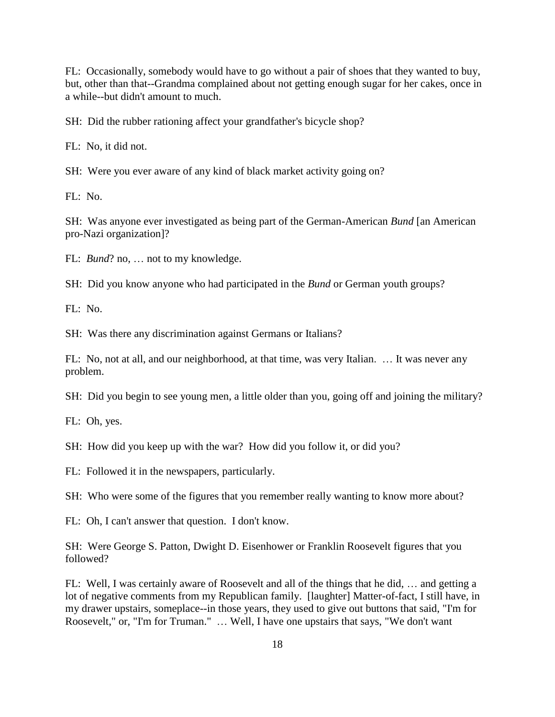FL: Occasionally, somebody would have to go without a pair of shoes that they wanted to buy, but, other than that--Grandma complained about not getting enough sugar for her cakes, once in a while--but didn't amount to much.

SH: Did the rubber rationing affect your grandfather's bicycle shop?

FL: No, it did not.

SH: Were you ever aware of any kind of black market activity going on?

 $FI: No.$ 

SH: Was anyone ever investigated as being part of the German-American *Bund* [an American pro-Nazi organization]?

FL: *Bund*? no, … not to my knowledge.

SH: Did you know anyone who had participated in the *Bund* or German youth groups?

 $FL: No.$ 

SH: Was there any discrimination against Germans or Italians?

FL: No, not at all, and our neighborhood, at that time, was very Italian. … It was never any problem.

SH: Did you begin to see young men, a little older than you, going off and joining the military?

FL: Oh, yes.

SH: How did you keep up with the war? How did you follow it, or did you?

FL: Followed it in the newspapers, particularly.

SH: Who were some of the figures that you remember really wanting to know more about?

FL: Oh, I can't answer that question. I don't know.

SH: Were George S. Patton, Dwight D. Eisenhower or Franklin Roosevelt figures that you followed?

FL: Well, I was certainly aware of Roosevelt and all of the things that he did, … and getting a lot of negative comments from my Republican family. [laughter] Matter-of-fact, I still have, in my drawer upstairs, someplace--in those years, they used to give out buttons that said, "I'm for Roosevelt," or, "I'm for Truman." … Well, I have one upstairs that says, "We don't want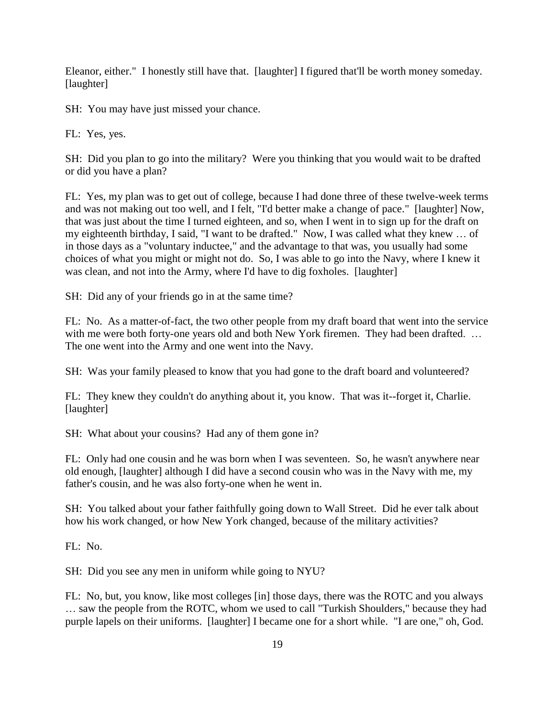Eleanor, either." I honestly still have that. [laughter] I figured that'll be worth money someday. [laughter]

SH: You may have just missed your chance.

FL: Yes, yes.

SH: Did you plan to go into the military? Were you thinking that you would wait to be drafted or did you have a plan?

FL: Yes, my plan was to get out of college, because I had done three of these twelve-week terms and was not making out too well, and I felt, "I'd better make a change of pace." [laughter] Now, that was just about the time I turned eighteen, and so, when I went in to sign up for the draft on my eighteenth birthday, I said, "I want to be drafted." Now, I was called what they knew … of in those days as a "voluntary inductee," and the advantage to that was, you usually had some choices of what you might or might not do. So, I was able to go into the Navy, where I knew it was clean, and not into the Army, where I'd have to dig foxholes. [laughter]

SH: Did any of your friends go in at the same time?

FL: No. As a matter-of-fact, the two other people from my draft board that went into the service with me were both forty-one years old and both New York firemen. They had been drafted. ... The one went into the Army and one went into the Navy.

SH: Was your family pleased to know that you had gone to the draft board and volunteered?

FL: They knew they couldn't do anything about it, you know. That was it--forget it, Charlie. [laughter]

SH: What about your cousins? Had any of them gone in?

FL: Only had one cousin and he was born when I was seventeen. So, he wasn't anywhere near old enough, [laughter] although I did have a second cousin who was in the Navy with me, my father's cousin, and he was also forty-one when he went in.

SH: You talked about your father faithfully going down to Wall Street. Did he ever talk about how his work changed, or how New York changed, because of the military activities?

FL: No.

SH: Did you see any men in uniform while going to NYU?

FL: No, but, you know, like most colleges [in] those days, there was the ROTC and you always … saw the people from the ROTC, whom we used to call "Turkish Shoulders," because they had purple lapels on their uniforms. [laughter] I became one for a short while. "I are one," oh, God.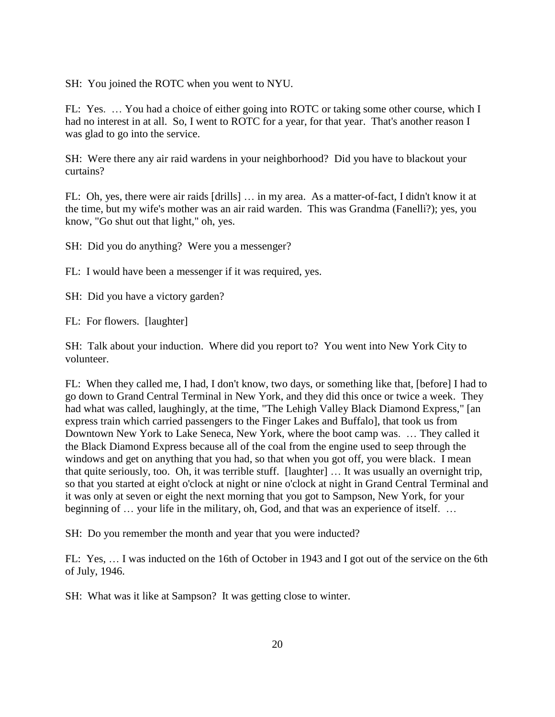SH: You joined the ROTC when you went to NYU.

FL: Yes. … You had a choice of either going into ROTC or taking some other course, which I had no interest in at all. So, I went to ROTC for a year, for that year. That's another reason I was glad to go into the service.

SH: Were there any air raid wardens in your neighborhood? Did you have to blackout your curtains?

FL: Oh, yes, there were air raids [drills] … in my area. As a matter-of-fact, I didn't know it at the time, but my wife's mother was an air raid warden. This was Grandma (Fanelli?); yes, you know, "Go shut out that light," oh, yes.

SH: Did you do anything? Were you a messenger?

FL: I would have been a messenger if it was required, yes.

SH: Did you have a victory garden?

FL: For flowers. [laughter]

SH: Talk about your induction. Where did you report to? You went into New York City to volunteer.

FL: When they called me, I had, I don't know, two days, or something like that, [before] I had to go down to Grand Central Terminal in New York, and they did this once or twice a week. They had what was called, laughingly, at the time, "The Lehigh Valley Black Diamond Express," [an express train which carried passengers to the Finger Lakes and Buffalo], that took us from Downtown New York to Lake Seneca, New York, where the boot camp was. … They called it the Black Diamond Express because all of the coal from the engine used to seep through the windows and get on anything that you had, so that when you got off, you were black. I mean that quite seriously, too. Oh, it was terrible stuff. [laughter] … It was usually an overnight trip, so that you started at eight o'clock at night or nine o'clock at night in Grand Central Terminal and it was only at seven or eight the next morning that you got to Sampson, New York, for your beginning of ... your life in the military, oh, God, and that was an experience of itself. ...

SH: Do you remember the month and year that you were inducted?

FL: Yes, … I was inducted on the 16th of October in 1943 and I got out of the service on the 6th of July, 1946.

SH: What was it like at Sampson? It was getting close to winter.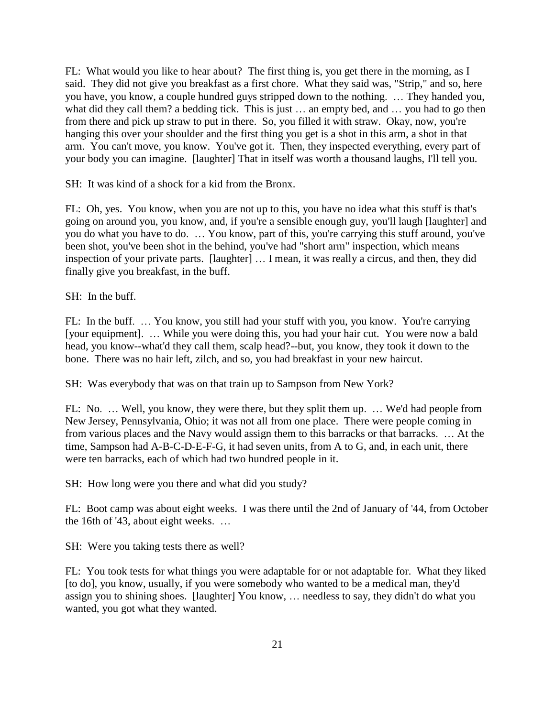FL: What would you like to hear about? The first thing is, you get there in the morning, as I said. They did not give you breakfast as a first chore. What they said was, "Strip," and so, here you have, you know, a couple hundred guys stripped down to the nothing. … They handed you, what did they call them? a bedding tick. This is just ... an empty bed, and ... you had to go then from there and pick up straw to put in there. So, you filled it with straw. Okay, now, you're hanging this over your shoulder and the first thing you get is a shot in this arm, a shot in that arm. You can't move, you know. You've got it. Then, they inspected everything, every part of your body you can imagine. [laughter] That in itself was worth a thousand laughs, I'll tell you.

SH: It was kind of a shock for a kid from the Bronx.

FL: Oh, yes. You know, when you are not up to this, you have no idea what this stuff is that's going on around you, you know, and, if you're a sensible enough guy, you'll laugh [laughter] and you do what you have to do. … You know, part of this, you're carrying this stuff around, you've been shot, you've been shot in the behind, you've had "short arm" inspection, which means inspection of your private parts. [laughter] … I mean, it was really a circus, and then, they did finally give you breakfast, in the buff.

SH: In the buff.

FL: In the buff. ... You know, you still had your stuff with you, you know. You're carrying [your equipment]. … While you were doing this, you had your hair cut. You were now a bald head, you know--what'd they call them, scalp head?--but, you know, they took it down to the bone. There was no hair left, zilch, and so, you had breakfast in your new haircut.

SH: Was everybody that was on that train up to Sampson from New York?

FL: No. … Well, you know, they were there, but they split them up. … We'd had people from New Jersey, Pennsylvania, Ohio; it was not all from one place. There were people coming in from various places and the Navy would assign them to this barracks or that barracks. … At the time, Sampson had A-B-C-D-E-F-G, it had seven units, from A to G, and, in each unit, there were ten barracks, each of which had two hundred people in it.

SH: How long were you there and what did you study?

FL: Boot camp was about eight weeks. I was there until the 2nd of January of '44, from October the 16th of '43, about eight weeks. …

SH: Were you taking tests there as well?

FL: You took tests for what things you were adaptable for or not adaptable for. What they liked [to do], you know, usually, if you were somebody who wanted to be a medical man, they'd assign you to shining shoes. [laughter] You know, … needless to say, they didn't do what you wanted, you got what they wanted.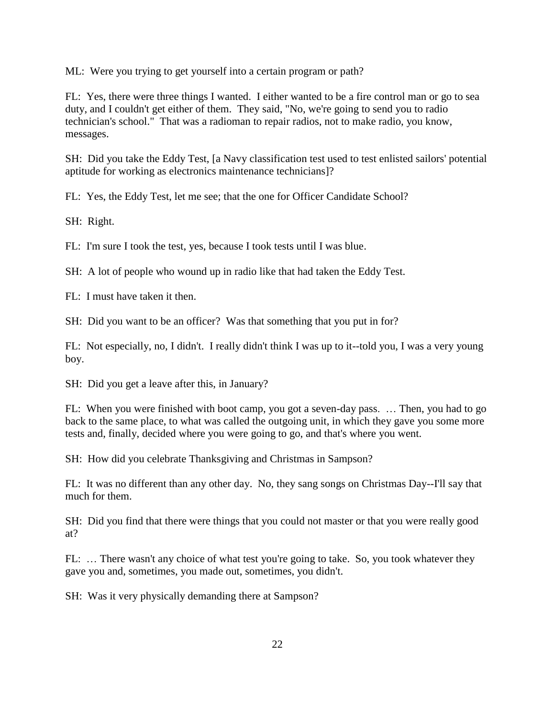ML: Were you trying to get yourself into a certain program or path?

FL: Yes, there were three things I wanted. I either wanted to be a fire control man or go to sea duty, and I couldn't get either of them. They said, "No, we're going to send you to radio technician's school." That was a radioman to repair radios, not to make radio, you know, messages.

SH: Did you take the Eddy Test, [a Navy classification test used to test enlisted sailors' potential aptitude for working as electronics maintenance technicians]?

FL: Yes, the Eddy Test, let me see; that the one for Officer Candidate School?

SH: Right.

FL: I'm sure I took the test, yes, because I took tests until I was blue.

SH: A lot of people who wound up in radio like that had taken the Eddy Test.

FL: I must have taken it then.

SH: Did you want to be an officer? Was that something that you put in for?

FL: Not especially, no, I didn't. I really didn't think I was up to it--told you, I was a very young boy.

SH: Did you get a leave after this, in January?

FL: When you were finished with boot camp, you got a seven-day pass. … Then, you had to go back to the same place, to what was called the outgoing unit, in which they gave you some more tests and, finally, decided where you were going to go, and that's where you went.

SH: How did you celebrate Thanksgiving and Christmas in Sampson?

FL: It was no different than any other day. No, they sang songs on Christmas Day--I'll say that much for them.

SH: Did you find that there were things that you could not master or that you were really good at?

FL: ... There wasn't any choice of what test you're going to take. So, you took whatever they gave you and, sometimes, you made out, sometimes, you didn't.

SH: Was it very physically demanding there at Sampson?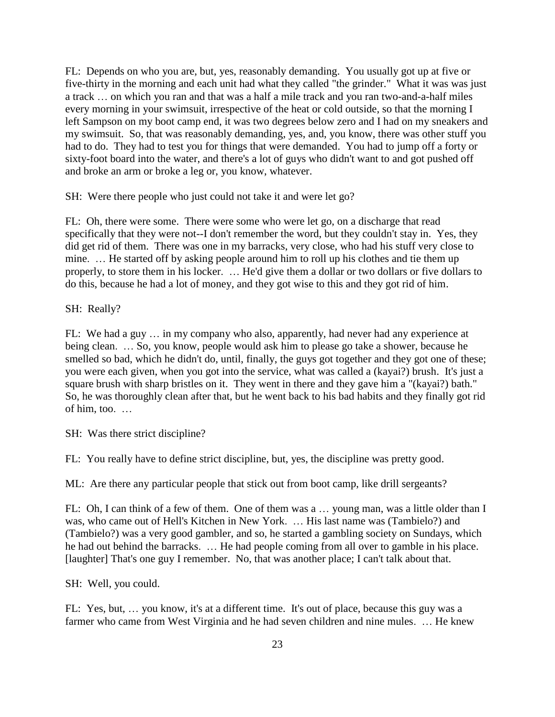FL: Depends on who you are, but, yes, reasonably demanding. You usually got up at five or five-thirty in the morning and each unit had what they called "the grinder." What it was was just a track … on which you ran and that was a half a mile track and you ran two-and-a-half miles every morning in your swimsuit, irrespective of the heat or cold outside, so that the morning I left Sampson on my boot camp end, it was two degrees below zero and I had on my sneakers and my swimsuit. So, that was reasonably demanding, yes, and, you know, there was other stuff you had to do. They had to test you for things that were demanded. You had to jump off a forty or sixty-foot board into the water, and there's a lot of guys who didn't want to and got pushed off and broke an arm or broke a leg or, you know, whatever.

SH: Were there people who just could not take it and were let go?

FL: Oh, there were some. There were some who were let go, on a discharge that read specifically that they were not--I don't remember the word, but they couldn't stay in. Yes, they did get rid of them. There was one in my barracks, very close, who had his stuff very close to mine. … He started off by asking people around him to roll up his clothes and tie them up properly, to store them in his locker. … He'd give them a dollar or two dollars or five dollars to do this, because he had a lot of money, and they got wise to this and they got rid of him.

SH: Really?

FL: We had a guy … in my company who also, apparently, had never had any experience at being clean. … So, you know, people would ask him to please go take a shower, because he smelled so bad, which he didn't do, until, finally, the guys got together and they got one of these; you were each given, when you got into the service, what was called a (kayai?) brush. It's just a square brush with sharp bristles on it. They went in there and they gave him a "(kayai?) bath." So, he was thoroughly clean after that, but he went back to his bad habits and they finally got rid of him, too. …

SH: Was there strict discipline?

FL: You really have to define strict discipline, but, yes, the discipline was pretty good.

ML: Are there any particular people that stick out from boot camp, like drill sergeants?

FL: Oh, I can think of a few of them. One of them was a … young man, was a little older than I was, who came out of Hell's Kitchen in New York. … His last name was (Tambielo?) and (Tambielo?) was a very good gambler, and so, he started a gambling society on Sundays, which he had out behind the barracks. … He had people coming from all over to gamble in his place. [laughter] That's one guy I remember. No, that was another place; I can't talk about that.

SH: Well, you could.

FL: Yes, but, … you know, it's at a different time. It's out of place, because this guy was a farmer who came from West Virginia and he had seven children and nine mules. … He knew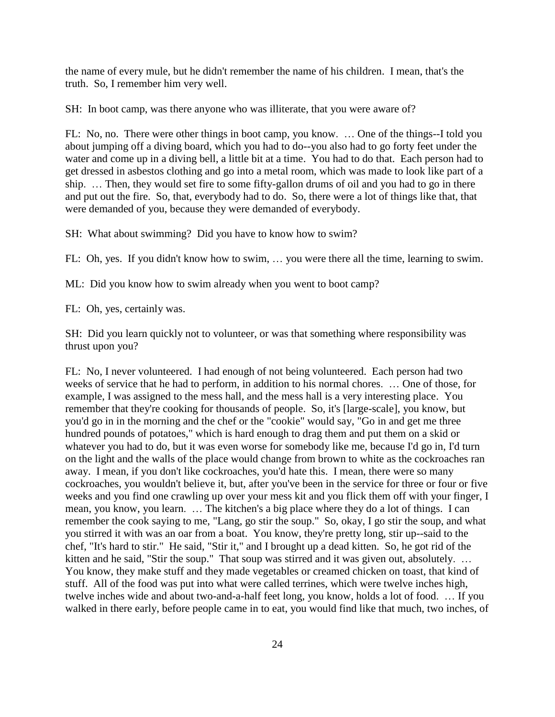the name of every mule, but he didn't remember the name of his children. I mean, that's the truth. So, I remember him very well.

SH: In boot camp, was there anyone who was illiterate, that you were aware of?

FL: No, no. There were other things in boot camp, you know. … One of the things--I told you about jumping off a diving board, which you had to do--you also had to go forty feet under the water and come up in a diving bell, a little bit at a time. You had to do that. Each person had to get dressed in asbestos clothing and go into a metal room, which was made to look like part of a ship. … Then, they would set fire to some fifty-gallon drums of oil and you had to go in there and put out the fire. So, that, everybody had to do. So, there were a lot of things like that, that were demanded of you, because they were demanded of everybody.

SH: What about swimming? Did you have to know how to swim?

FL: Oh, yes. If you didn't know how to swim, … you were there all the time, learning to swim.

ML: Did you know how to swim already when you went to boot camp?

FL: Oh, yes, certainly was.

SH: Did you learn quickly not to volunteer, or was that something where responsibility was thrust upon you?

FL: No, I never volunteered. I had enough of not being volunteered. Each person had two weeks of service that he had to perform, in addition to his normal chores. … One of those, for example, I was assigned to the mess hall, and the mess hall is a very interesting place. You remember that they're cooking for thousands of people. So, it's [large-scale], you know, but you'd go in in the morning and the chef or the "cookie" would say, "Go in and get me three hundred pounds of potatoes," which is hard enough to drag them and put them on a skid or whatever you had to do, but it was even worse for somebody like me, because I'd go in, I'd turn on the light and the walls of the place would change from brown to white as the cockroaches ran away. I mean, if you don't like cockroaches, you'd hate this. I mean, there were so many cockroaches, you wouldn't believe it, but, after you've been in the service for three or four or five weeks and you find one crawling up over your mess kit and you flick them off with your finger, I mean, you know, you learn. … The kitchen's a big place where they do a lot of things. I can remember the cook saying to me, "Lang, go stir the soup." So, okay, I go stir the soup, and what you stirred it with was an oar from a boat. You know, they're pretty long, stir up--said to the chef, "It's hard to stir." He said, "Stir it," and I brought up a dead kitten. So, he got rid of the kitten and he said, "Stir the soup." That soup was stirred and it was given out, absolutely. ... You know, they make stuff and they made vegetables or creamed chicken on toast, that kind of stuff. All of the food was put into what were called terrines, which were twelve inches high, twelve inches wide and about two-and-a-half feet long, you know, holds a lot of food. … If you walked in there early, before people came in to eat, you would find like that much, two inches, of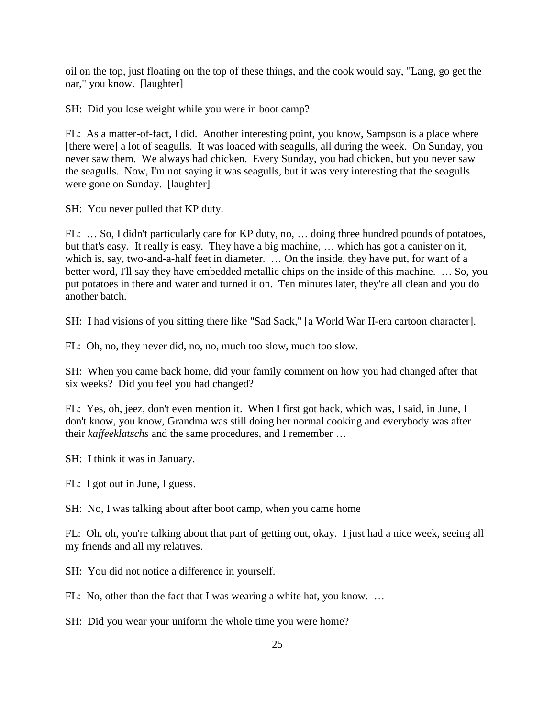oil on the top, just floating on the top of these things, and the cook would say, "Lang, go get the oar," you know. [laughter]

SH: Did you lose weight while you were in boot camp?

FL: As a matter-of-fact, I did. Another interesting point, you know, Sampson is a place where [there were] a lot of seagulls. It was loaded with seagulls, all during the week. On Sunday, you never saw them. We always had chicken. Every Sunday, you had chicken, but you never saw the seagulls. Now, I'm not saying it was seagulls, but it was very interesting that the seagulls were gone on Sunday. [laughter]

SH: You never pulled that KP duty.

FL: ... So, I didn't particularly care for KP duty, no, ... doing three hundred pounds of potatoes, but that's easy. It really is easy. They have a big machine, … which has got a canister on it, which is, say, two-and-a-half feet in diameter. ... On the inside, they have put, for want of a better word, I'll say they have embedded metallic chips on the inside of this machine. … So, you put potatoes in there and water and turned it on. Ten minutes later, they're all clean and you do another batch.

SH: I had visions of you sitting there like "Sad Sack," [a World War II-era cartoon character].

FL: Oh, no, they never did, no, no, much too slow, much too slow.

SH: When you came back home, did your family comment on how you had changed after that six weeks? Did you feel you had changed?

FL: Yes, oh, jeez, don't even mention it. When I first got back, which was, I said, in June, I don't know, you know, Grandma was still doing her normal cooking and everybody was after their *kaffeeklatschs* and the same procedures, and I remember …

SH: I think it was in January.

FL: I got out in June, I guess.

SH: No, I was talking about after boot camp, when you came home

FL: Oh, oh, you're talking about that part of getting out, okay. I just had a nice week, seeing all my friends and all my relatives.

SH: You did not notice a difference in yourself.

FL: No, other than the fact that I was wearing a white hat, you know. …

SH: Did you wear your uniform the whole time you were home?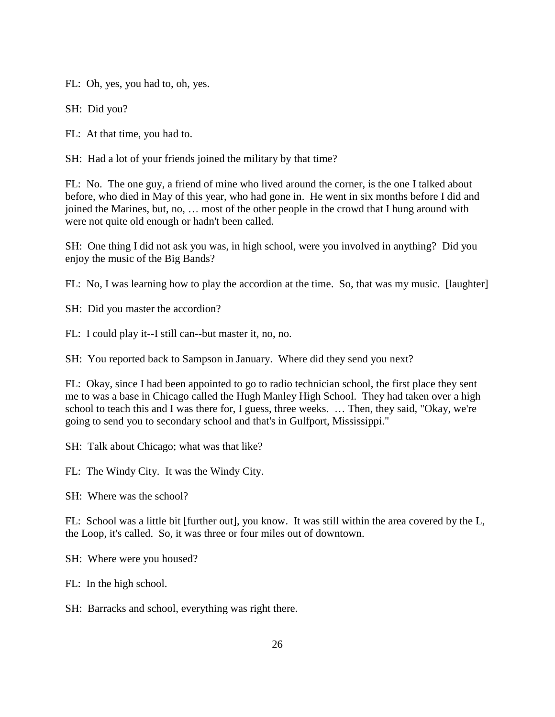FL: Oh, yes, you had to, oh, yes.

SH: Did you?

FL: At that time, you had to.

SH: Had a lot of your friends joined the military by that time?

FL: No. The one guy, a friend of mine who lived around the corner, is the one I talked about before, who died in May of this year, who had gone in. He went in six months before I did and joined the Marines, but, no, … most of the other people in the crowd that I hung around with were not quite old enough or hadn't been called.

SH: One thing I did not ask you was, in high school, were you involved in anything? Did you enjoy the music of the Big Bands?

FL: No, I was learning how to play the accordion at the time. So, that was my music. [laughter]

SH: Did you master the accordion?

FL: I could play it--I still can--but master it, no, no.

SH: You reported back to Sampson in January. Where did they send you next?

FL: Okay, since I had been appointed to go to radio technician school, the first place they sent me to was a base in Chicago called the Hugh Manley High School. They had taken over a high school to teach this and I was there for, I guess, three weeks. … Then, they said, "Okay, we're going to send you to secondary school and that's in Gulfport, Mississippi."

SH: Talk about Chicago; what was that like?

FL: The Windy City. It was the Windy City.

SH: Where was the school?

FL: School was a little bit [further out], you know. It was still within the area covered by the L, the Loop, it's called. So, it was three or four miles out of downtown.

SH: Where were you housed?

FL: In the high school.

SH: Barracks and school, everything was right there.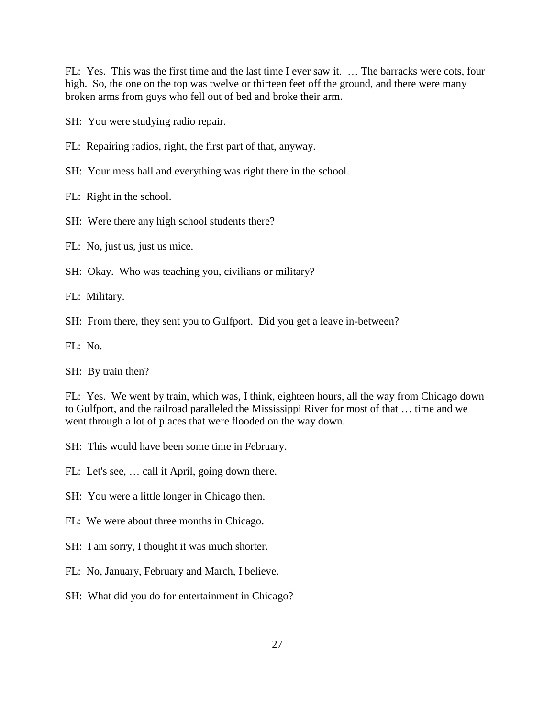FL: Yes. This was the first time and the last time I ever saw it. … The barracks were cots, four high. So, the one on the top was twelve or thirteen feet off the ground, and there were many broken arms from guys who fell out of bed and broke their arm.

SH: You were studying radio repair.

- FL: Repairing radios, right, the first part of that, anyway.
- SH: Your mess hall and everything was right there in the school.

FL: Right in the school.

- SH: Were there any high school students there?
- FL: No, just us, just us mice.
- SH: Okay. Who was teaching you, civilians or military?

FL: Military.

SH: From there, they sent you to Gulfport. Did you get a leave in-between?

FL: No.

SH: By train then?

FL: Yes. We went by train, which was, I think, eighteen hours, all the way from Chicago down to Gulfport, and the railroad paralleled the Mississippi River for most of that … time and we went through a lot of places that were flooded on the way down.

- SH: This would have been some time in February.
- FL: Let's see, … call it April, going down there.
- SH: You were a little longer in Chicago then.
- FL: We were about three months in Chicago.
- SH: I am sorry, I thought it was much shorter.
- FL: No, January, February and March, I believe.
- SH: What did you do for entertainment in Chicago?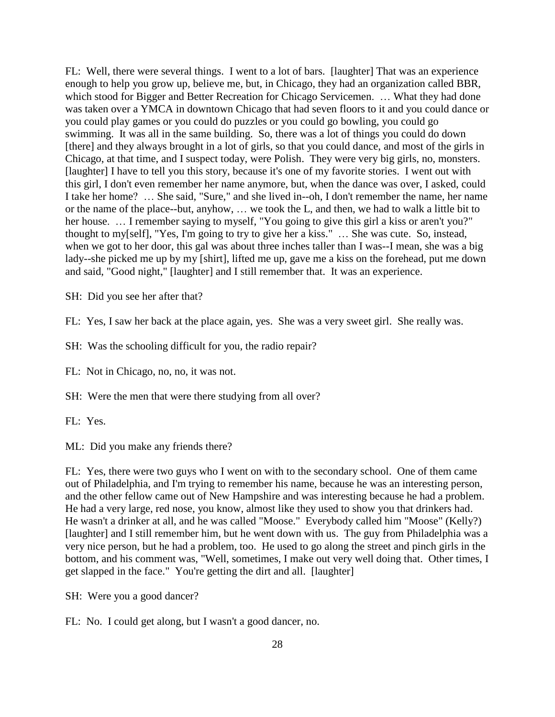FL: Well, there were several things. I went to a lot of bars. [laughter] That was an experience enough to help you grow up, believe me, but, in Chicago, they had an organization called BBR, which stood for Bigger and Better Recreation for Chicago Servicemen. ... What they had done was taken over a YMCA in downtown Chicago that had seven floors to it and you could dance or you could play games or you could do puzzles or you could go bowling, you could go swimming. It was all in the same building. So, there was a lot of things you could do down [there] and they always brought in a lot of girls, so that you could dance, and most of the girls in Chicago, at that time, and I suspect today, were Polish. They were very big girls, no, monsters. [laughter] I have to tell you this story, because it's one of my favorite stories. I went out with this girl, I don't even remember her name anymore, but, when the dance was over, I asked, could I take her home? … She said, "Sure," and she lived in--oh, I don't remember the name, her name or the name of the place--but, anyhow, … we took the L, and then, we had to walk a little bit to her house. ... I remember saying to myself, "You going to give this girl a kiss or aren't you?" thought to my[self], "Yes, I'm going to try to give her a kiss." … She was cute. So, instead, when we got to her door, this gal was about three inches taller than I was--I mean, she was a big lady--she picked me up by my [shirt], lifted me up, gave me a kiss on the forehead, put me down and said, "Good night," [laughter] and I still remember that. It was an experience.

SH: Did you see her after that?

FL: Yes, I saw her back at the place again, yes. She was a very sweet girl. She really was.

SH: Was the schooling difficult for you, the radio repair?

FL: Not in Chicago, no, no, it was not.

SH: Were the men that were there studying from all over?

FL: Yes.

ML: Did you make any friends there?

FL: Yes, there were two guys who I went on with to the secondary school. One of them came out of Philadelphia, and I'm trying to remember his name, because he was an interesting person, and the other fellow came out of New Hampshire and was interesting because he had a problem. He had a very large, red nose, you know, almost like they used to show you that drinkers had. He wasn't a drinker at all, and he was called "Moose." Everybody called him "Moose" (Kelly?) [laughter] and I still remember him, but he went down with us. The guy from Philadelphia was a very nice person, but he had a problem, too. He used to go along the street and pinch girls in the bottom, and his comment was, "Well, sometimes, I make out very well doing that. Other times, I get slapped in the face." You're getting the dirt and all. [laughter]

SH: Were you a good dancer?

FL: No. I could get along, but I wasn't a good dancer, no.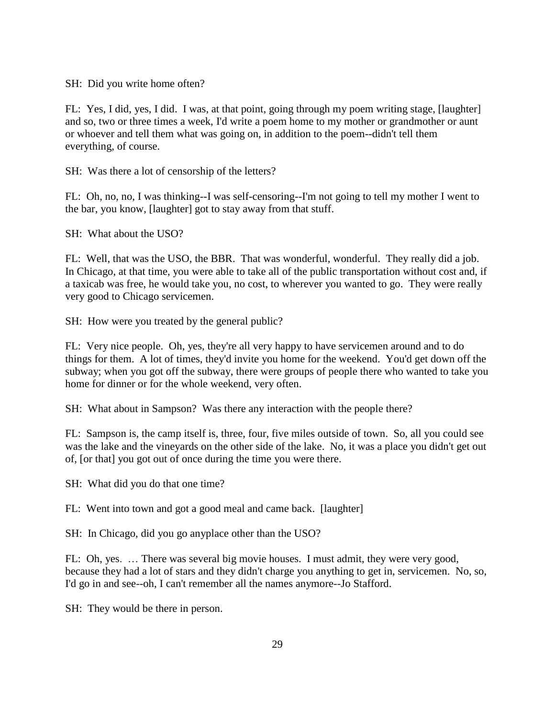SH: Did you write home often?

FL: Yes, I did, yes, I did. I was, at that point, going through my poem writing stage, [laughter] and so, two or three times a week, I'd write a poem home to my mother or grandmother or aunt or whoever and tell them what was going on, in addition to the poem--didn't tell them everything, of course.

SH: Was there a lot of censorship of the letters?

FL: Oh, no, no, I was thinking--I was self-censoring--I'm not going to tell my mother I went to the bar, you know, [laughter] got to stay away from that stuff.

SH: What about the USO?

FL: Well, that was the USO, the BBR. That was wonderful, wonderful. They really did a job. In Chicago, at that time, you were able to take all of the public transportation without cost and, if a taxicab was free, he would take you, no cost, to wherever you wanted to go. They were really very good to Chicago servicemen.

SH: How were you treated by the general public?

FL: Very nice people. Oh, yes, they're all very happy to have servicemen around and to do things for them. A lot of times, they'd invite you home for the weekend. You'd get down off the subway; when you got off the subway, there were groups of people there who wanted to take you home for dinner or for the whole weekend, very often.

SH: What about in Sampson? Was there any interaction with the people there?

FL: Sampson is, the camp itself is, three, four, five miles outside of town. So, all you could see was the lake and the vineyards on the other side of the lake. No, it was a place you didn't get out of, [or that] you got out of once during the time you were there.

SH: What did you do that one time?

FL: Went into town and got a good meal and came back. [laughter]

SH: In Chicago, did you go anyplace other than the USO?

FL: Oh, yes. … There was several big movie houses. I must admit, they were very good, because they had a lot of stars and they didn't charge you anything to get in, servicemen. No, so, I'd go in and see--oh, I can't remember all the names anymore--Jo Stafford.

SH: They would be there in person.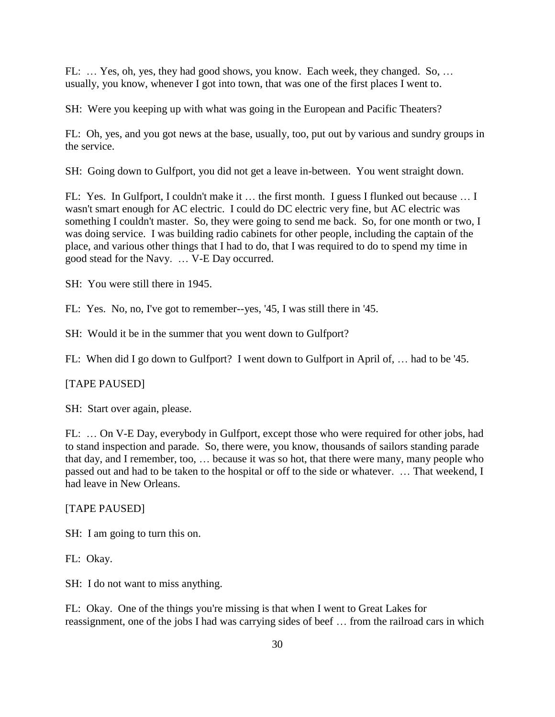FL: … Yes, oh, yes, they had good shows, you know. Each week, they changed. So, … usually, you know, whenever I got into town, that was one of the first places I went to.

SH: Were you keeping up with what was going in the European and Pacific Theaters?

FL: Oh, yes, and you got news at the base, usually, too, put out by various and sundry groups in the service.

SH: Going down to Gulfport, you did not get a leave in-between. You went straight down.

FL: Yes. In Gulfport, I couldn't make it ... the first month. I guess I flunked out because ... I wasn't smart enough for AC electric. I could do DC electric very fine, but AC electric was something I couldn't master. So, they were going to send me back. So, for one month or two, I was doing service. I was building radio cabinets for other people, including the captain of the place, and various other things that I had to do, that I was required to do to spend my time in good stead for the Navy. … V-E Day occurred.

SH: You were still there in 1945.

FL: Yes. No, no, I've got to remember--yes, '45, I was still there in '45.

SH: Would it be in the summer that you went down to Gulfport?

FL: When did I go down to Gulfport? I went down to Gulfport in April of, … had to be '45.

## [TAPE PAUSED]

SH: Start over again, please.

FL: … On V-E Day, everybody in Gulfport, except those who were required for other jobs, had to stand inspection and parade. So, there were, you know, thousands of sailors standing parade that day, and I remember, too, … because it was so hot, that there were many, many people who passed out and had to be taken to the hospital or off to the side or whatever. … That weekend, I had leave in New Orleans.

#### [TAPE PAUSED]

SH: I am going to turn this on.

FL: Okay.

SH: I do not want to miss anything.

FL: Okay. One of the things you're missing is that when I went to Great Lakes for reassignment, one of the jobs I had was carrying sides of beef … from the railroad cars in which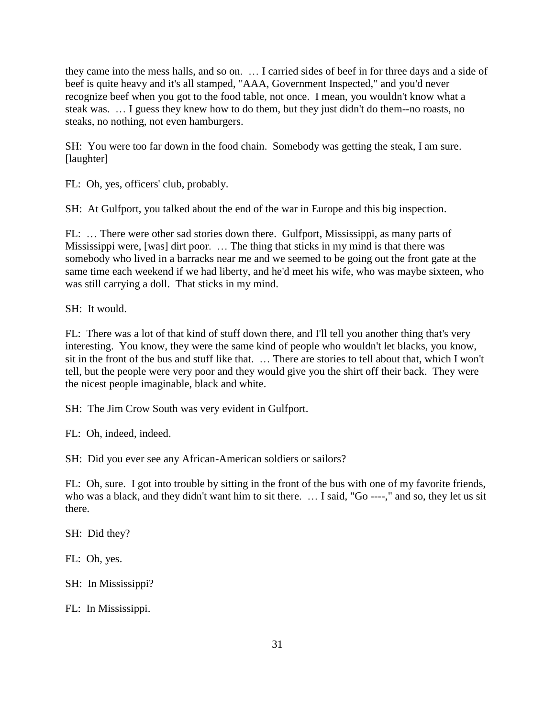they came into the mess halls, and so on. … I carried sides of beef in for three days and a side of beef is quite heavy and it's all stamped, "AAA, Government Inspected," and you'd never recognize beef when you got to the food table, not once. I mean, you wouldn't know what a steak was. … I guess they knew how to do them, but they just didn't do them--no roasts, no steaks, no nothing, not even hamburgers.

SH: You were too far down in the food chain. Somebody was getting the steak, I am sure. [laughter]

FL: Oh, yes, officers' club, probably.

SH: At Gulfport, you talked about the end of the war in Europe and this big inspection.

FL: … There were other sad stories down there. Gulfport, Mississippi, as many parts of Mississippi were, [was] dirt poor. … The thing that sticks in my mind is that there was somebody who lived in a barracks near me and we seemed to be going out the front gate at the same time each weekend if we had liberty, and he'd meet his wife, who was maybe sixteen, who was still carrying a doll. That sticks in my mind.

SH: It would.

FL: There was a lot of that kind of stuff down there, and I'll tell you another thing that's very interesting. You know, they were the same kind of people who wouldn't let blacks, you know, sit in the front of the bus and stuff like that. … There are stories to tell about that, which I won't tell, but the people were very poor and they would give you the shirt off their back. They were the nicest people imaginable, black and white.

SH: The Jim Crow South was very evident in Gulfport.

FL: Oh, indeed, indeed.

SH: Did you ever see any African-American soldiers or sailors?

FL: Oh, sure. I got into trouble by sitting in the front of the bus with one of my favorite friends, who was a black, and they didn't want him to sit there. … I said, "Go ----," and so, they let us sit there.

SH: Did they?

FL: Oh, yes.

SH: In Mississippi?

FL: In Mississippi.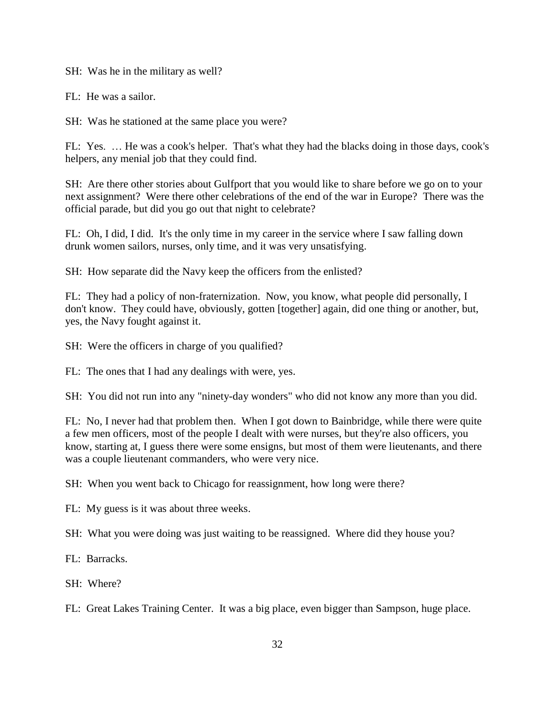SH: Was he in the military as well?

FL: He was a sailor.

SH: Was he stationed at the same place you were?

FL: Yes. … He was a cook's helper. That's what they had the blacks doing in those days, cook's helpers, any menial job that they could find.

SH: Are there other stories about Gulfport that you would like to share before we go on to your next assignment? Were there other celebrations of the end of the war in Europe? There was the official parade, but did you go out that night to celebrate?

FL: Oh, I did, I did. It's the only time in my career in the service where I saw falling down drunk women sailors, nurses, only time, and it was very unsatisfying.

SH: How separate did the Navy keep the officers from the enlisted?

FL: They had a policy of non-fraternization. Now, you know, what people did personally, I don't know. They could have, obviously, gotten [together] again, did one thing or another, but, yes, the Navy fought against it.

SH: Were the officers in charge of you qualified?

FL: The ones that I had any dealings with were, yes.

SH: You did not run into any "ninety-day wonders" who did not know any more than you did.

FL: No, I never had that problem then. When I got down to Bainbridge, while there were quite a few men officers, most of the people I dealt with were nurses, but they're also officers, you know, starting at, I guess there were some ensigns, but most of them were lieutenants, and there was a couple lieutenant commanders, who were very nice.

SH: When you went back to Chicago for reassignment, how long were there?

FL: My guess is it was about three weeks.

SH: What you were doing was just waiting to be reassigned. Where did they house you?

FL: Barracks.

SH: Where?

FL: Great Lakes Training Center. It was a big place, even bigger than Sampson, huge place.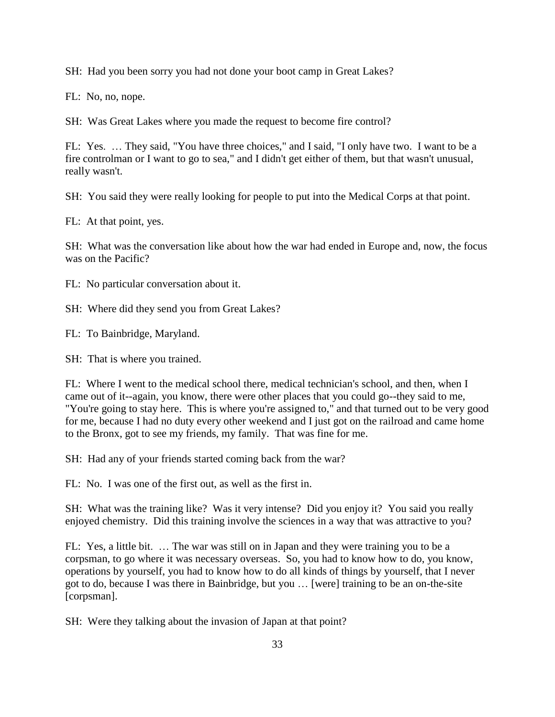SH: Had you been sorry you had not done your boot camp in Great Lakes?

FL: No, no, nope.

SH: Was Great Lakes where you made the request to become fire control?

FL: Yes. … They said, "You have three choices," and I said, "I only have two. I want to be a fire controlman or I want to go to sea," and I didn't get either of them, but that wasn't unusual, really wasn't.

SH: You said they were really looking for people to put into the Medical Corps at that point.

FL: At that point, yes.

SH: What was the conversation like about how the war had ended in Europe and, now, the focus was on the Pacific?

FL: No particular conversation about it.

SH: Where did they send you from Great Lakes?

FL: To Bainbridge, Maryland.

SH: That is where you trained.

FL: Where I went to the medical school there, medical technician's school, and then, when I came out of it--again, you know, there were other places that you could go--they said to me, "You're going to stay here. This is where you're assigned to," and that turned out to be very good for me, because I had no duty every other weekend and I just got on the railroad and came home to the Bronx, got to see my friends, my family. That was fine for me.

SH: Had any of your friends started coming back from the war?

FL: No. I was one of the first out, as well as the first in.

SH: What was the training like? Was it very intense? Did you enjoy it? You said you really enjoyed chemistry. Did this training involve the sciences in a way that was attractive to you?

FL: Yes, a little bit. … The war was still on in Japan and they were training you to be a corpsman, to go where it was necessary overseas. So, you had to know how to do, you know, operations by yourself, you had to know how to do all kinds of things by yourself, that I never got to do, because I was there in Bainbridge, but you … [were] training to be an on-the-site [corpsman].

SH: Were they talking about the invasion of Japan at that point?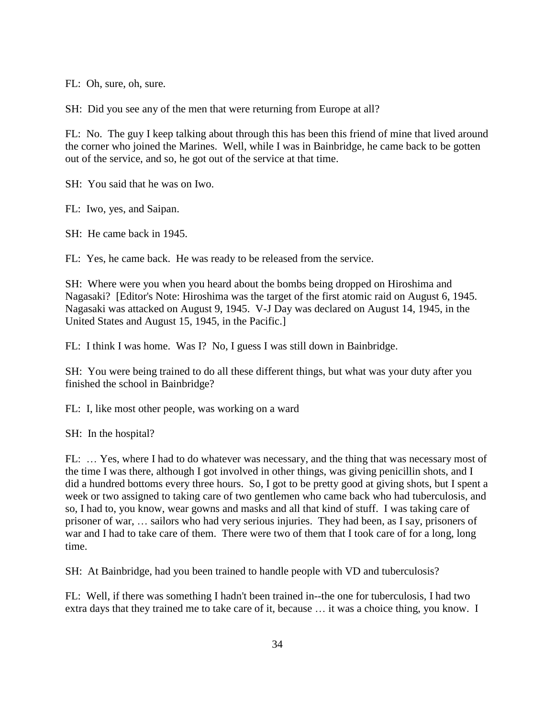FL: Oh, sure, oh, sure.

SH: Did you see any of the men that were returning from Europe at all?

FL: No. The guy I keep talking about through this has been this friend of mine that lived around the corner who joined the Marines. Well, while I was in Bainbridge, he came back to be gotten out of the service, and so, he got out of the service at that time.

SH: You said that he was on Iwo.

FL: Iwo, yes, and Saipan.

SH: He came back in 1945.

FL: Yes, he came back. He was ready to be released from the service.

SH: Where were you when you heard about the bombs being dropped on Hiroshima and Nagasaki? [Editor's Note: Hiroshima was the target of the first atomic raid on August 6, 1945. Nagasaki was attacked on August 9, 1945. V-J Day was declared on August 14, 1945, in the United States and August 15, 1945, in the Pacific.]

FL: I think I was home. Was I? No, I guess I was still down in Bainbridge.

SH: You were being trained to do all these different things, but what was your duty after you finished the school in Bainbridge?

FL: I, like most other people, was working on a ward

SH: In the hospital?

FL: … Yes, where I had to do whatever was necessary, and the thing that was necessary most of the time I was there, although I got involved in other things, was giving penicillin shots, and I did a hundred bottoms every three hours. So, I got to be pretty good at giving shots, but I spent a week or two assigned to taking care of two gentlemen who came back who had tuberculosis, and so, I had to, you know, wear gowns and masks and all that kind of stuff. I was taking care of prisoner of war, … sailors who had very serious injuries. They had been, as I say, prisoners of war and I had to take care of them. There were two of them that I took care of for a long, long time.

SH: At Bainbridge, had you been trained to handle people with VD and tuberculosis?

FL: Well, if there was something I hadn't been trained in--the one for tuberculosis, I had two extra days that they trained me to take care of it, because … it was a choice thing, you know. I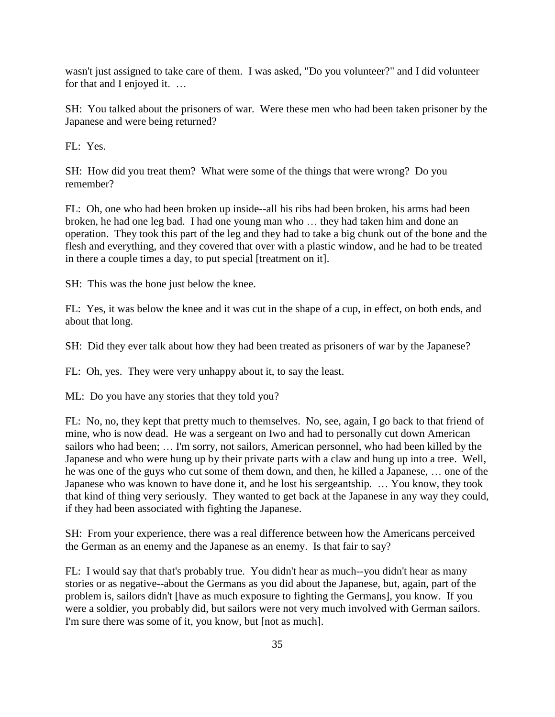wasn't just assigned to take care of them. I was asked, "Do you volunteer?" and I did volunteer for that and I enjoyed it. …

SH: You talked about the prisoners of war. Were these men who had been taken prisoner by the Japanese and were being returned?

FL: Yes.

SH: How did you treat them? What were some of the things that were wrong? Do you remember?

FL: Oh, one who had been broken up inside--all his ribs had been broken, his arms had been broken, he had one leg bad. I had one young man who … they had taken him and done an operation. They took this part of the leg and they had to take a big chunk out of the bone and the flesh and everything, and they covered that over with a plastic window, and he had to be treated in there a couple times a day, to put special [treatment on it].

SH: This was the bone just below the knee.

FL: Yes, it was below the knee and it was cut in the shape of a cup, in effect, on both ends, and about that long.

SH: Did they ever talk about how they had been treated as prisoners of war by the Japanese?

FL: Oh, yes. They were very unhappy about it, to say the least.

ML: Do you have any stories that they told you?

FL: No, no, they kept that pretty much to themselves. No, see, again, I go back to that friend of mine, who is now dead. He was a sergeant on Iwo and had to personally cut down American sailors who had been; … I'm sorry, not sailors, American personnel, who had been killed by the Japanese and who were hung up by their private parts with a claw and hung up into a tree. Well, he was one of the guys who cut some of them down, and then, he killed a Japanese, … one of the Japanese who was known to have done it, and he lost his sergeantship. … You know, they took that kind of thing very seriously. They wanted to get back at the Japanese in any way they could, if they had been associated with fighting the Japanese.

SH: From your experience, there was a real difference between how the Americans perceived the German as an enemy and the Japanese as an enemy. Is that fair to say?

FL: I would say that that's probably true. You didn't hear as much--you didn't hear as many stories or as negative--about the Germans as you did about the Japanese, but, again, part of the problem is, sailors didn't [have as much exposure to fighting the Germans], you know. If you were a soldier, you probably did, but sailors were not very much involved with German sailors. I'm sure there was some of it, you know, but [not as much].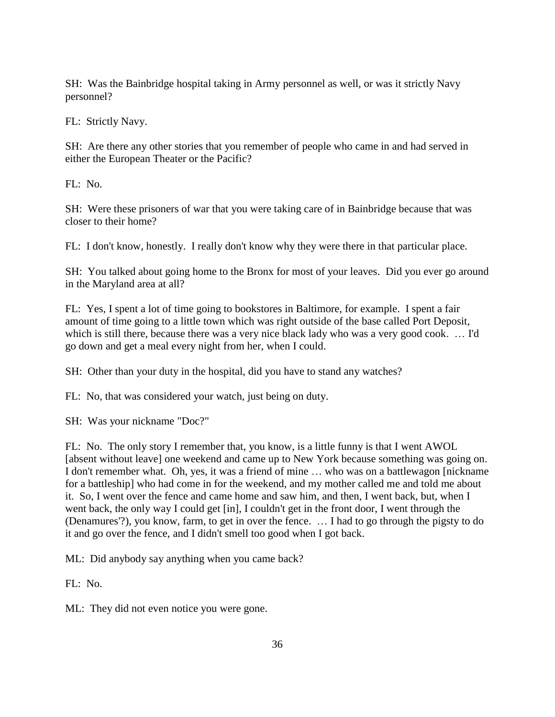SH: Was the Bainbridge hospital taking in Army personnel as well, or was it strictly Navy personnel?

FL: Strictly Navy.

SH: Are there any other stories that you remember of people who came in and had served in either the European Theater or the Pacific?

FL: No.

SH: Were these prisoners of war that you were taking care of in Bainbridge because that was closer to their home?

FL: I don't know, honestly. I really don't know why they were there in that particular place.

SH: You talked about going home to the Bronx for most of your leaves. Did you ever go around in the Maryland area at all?

FL: Yes, I spent a lot of time going to bookstores in Baltimore, for example. I spent a fair amount of time going to a little town which was right outside of the base called Port Deposit, which is still there, because there was a very nice black lady who was a very good cook. … I'd go down and get a meal every night from her, when I could.

SH: Other than your duty in the hospital, did you have to stand any watches?

FL: No, that was considered your watch, just being on duty.

SH: Was your nickname "Doc?"

FL: No. The only story I remember that, you know, is a little funny is that I went AWOL [absent without leave] one weekend and came up to New York because something was going on. I don't remember what. Oh, yes, it was a friend of mine … who was on a battlewagon [nickname for a battleship] who had come in for the weekend, and my mother called me and told me about it. So, I went over the fence and came home and saw him, and then, I went back, but, when I went back, the only way I could get [in], I couldn't get in the front door, I went through the (Denamures'?), you know, farm, to get in over the fence. … I had to go through the pigsty to do it and go over the fence, and I didn't smell too good when I got back.

ML: Did anybody say anything when you came back?

 $FL: No.$ 

ML: They did not even notice you were gone.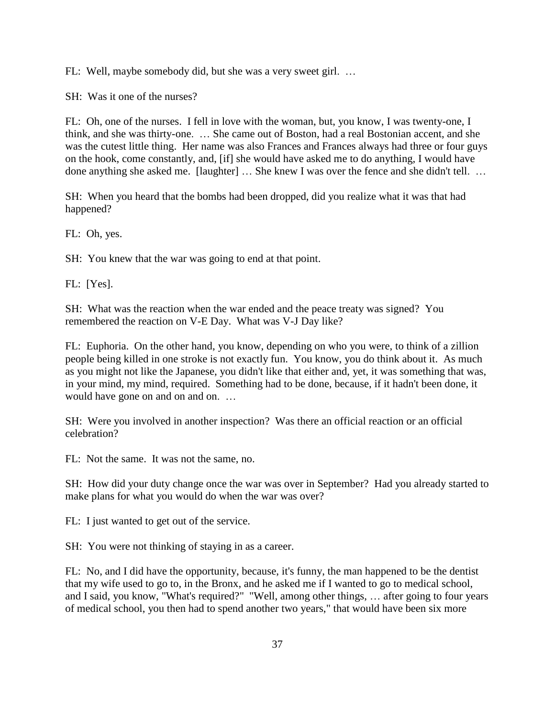FL: Well, maybe somebody did, but she was a very sweet girl. …

SH: Was it one of the nurses?

FL: Oh, one of the nurses. I fell in love with the woman, but, you know, I was twenty-one, I think, and she was thirty-one. … She came out of Boston, had a real Bostonian accent, and she was the cutest little thing. Her name was also Frances and Frances always had three or four guys on the hook, come constantly, and, [if] she would have asked me to do anything, I would have done anything she asked me. [laughter] … She knew I was over the fence and she didn't tell. …

SH: When you heard that the bombs had been dropped, did you realize what it was that had happened?

FL: Oh, yes.

SH: You knew that the war was going to end at that point.

FL: [Yes].

SH: What was the reaction when the war ended and the peace treaty was signed? You remembered the reaction on V-E Day. What was V-J Day like?

FL: Euphoria. On the other hand, you know, depending on who you were, to think of a zillion people being killed in one stroke is not exactly fun. You know, you do think about it. As much as you might not like the Japanese, you didn't like that either and, yet, it was something that was, in your mind, my mind, required. Something had to be done, because, if it hadn't been done, it would have gone on and on and on. ...

SH: Were you involved in another inspection? Was there an official reaction or an official celebration?

FL: Not the same. It was not the same, no.

SH: How did your duty change once the war was over in September? Had you already started to make plans for what you would do when the war was over?

FL: I just wanted to get out of the service.

SH: You were not thinking of staying in as a career.

FL: No, and I did have the opportunity, because, it's funny, the man happened to be the dentist that my wife used to go to, in the Bronx, and he asked me if I wanted to go to medical school, and I said, you know, "What's required?" "Well, among other things, … after going to four years of medical school, you then had to spend another two years," that would have been six more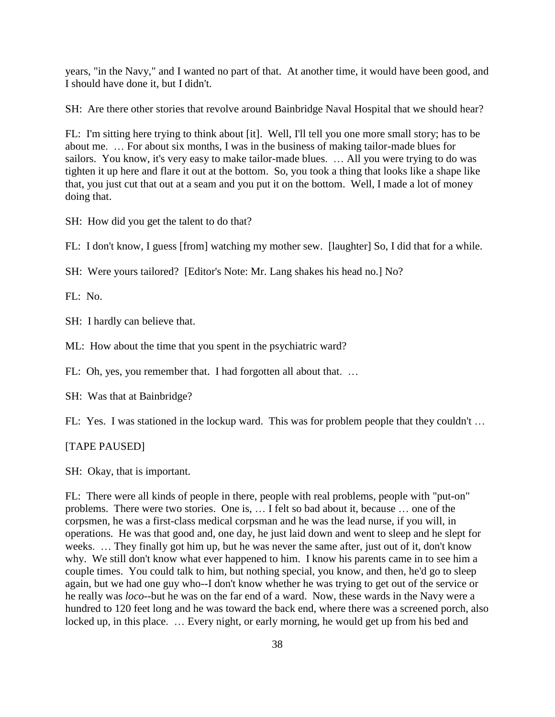years, "in the Navy," and I wanted no part of that. At another time, it would have been good, and I should have done it, but I didn't.

SH: Are there other stories that revolve around Bainbridge Naval Hospital that we should hear?

FL: I'm sitting here trying to think about [it]. Well, I'll tell you one more small story; has to be about me. … For about six months, I was in the business of making tailor-made blues for sailors. You know, it's very easy to make tailor-made blues. … All you were trying to do was tighten it up here and flare it out at the bottom. So, you took a thing that looks like a shape like that, you just cut that out at a seam and you put it on the bottom. Well, I made a lot of money doing that.

SH: How did you get the talent to do that?

FL: I don't know, I guess [from] watching my mother sew. [laughter] So, I did that for a while.

SH: Were yours tailored? [Editor's Note: Mr. Lang shakes his head no.] No?

FL: No.

SH: I hardly can believe that.

ML: How about the time that you spent in the psychiatric ward?

FL: Oh, yes, you remember that. I had forgotten all about that. ...

SH: Was that at Bainbridge?

FL: Yes. I was stationed in the lockup ward. This was for problem people that they couldn't ...

[TAPE PAUSED]

SH: Okay, that is important.

FL: There were all kinds of people in there, people with real problems, people with "put-on" problems. There were two stories. One is, … I felt so bad about it, because … one of the corpsmen, he was a first-class medical corpsman and he was the lead nurse, if you will, in operations. He was that good and, one day, he just laid down and went to sleep and he slept for weeks. … They finally got him up, but he was never the same after, just out of it, don't know why. We still don't know what ever happened to him. I know his parents came in to see him a couple times. You could talk to him, but nothing special, you know, and then, he'd go to sleep again, but we had one guy who--I don't know whether he was trying to get out of the service or he really was *loco*--but he was on the far end of a ward. Now, these wards in the Navy were a hundred to 120 feet long and he was toward the back end, where there was a screened porch, also locked up, in this place. … Every night, or early morning, he would get up from his bed and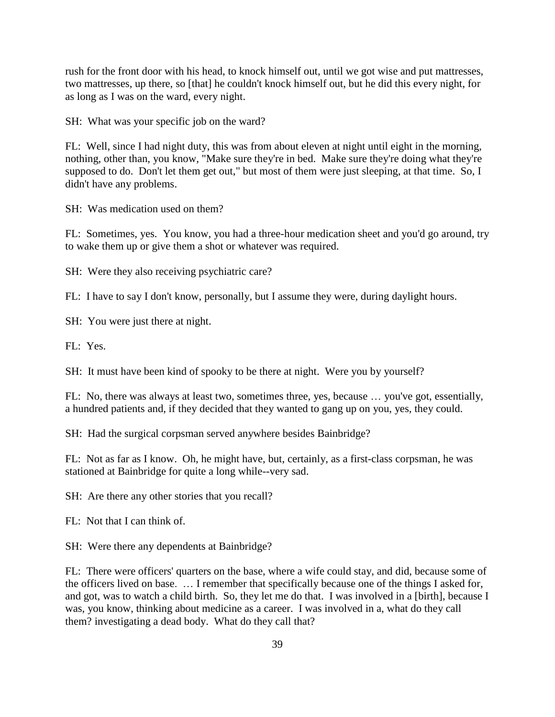rush for the front door with his head, to knock himself out, until we got wise and put mattresses, two mattresses, up there, so [that] he couldn't knock himself out, but he did this every night, for as long as I was on the ward, every night.

SH: What was your specific job on the ward?

FL: Well, since I had night duty, this was from about eleven at night until eight in the morning, nothing, other than, you know, "Make sure they're in bed. Make sure they're doing what they're supposed to do. Don't let them get out," but most of them were just sleeping, at that time. So, I didn't have any problems.

SH: Was medication used on them?

FL: Sometimes, yes. You know, you had a three-hour medication sheet and you'd go around, try to wake them up or give them a shot or whatever was required.

SH: Were they also receiving psychiatric care?

FL: I have to say I don't know, personally, but I assume they were, during daylight hours.

SH: You were just there at night.

 $FI: Yes.$ 

SH: It must have been kind of spooky to be there at night. Were you by yourself?

FL: No, there was always at least two, sometimes three, yes, because … you've got, essentially, a hundred patients and, if they decided that they wanted to gang up on you, yes, they could.

SH: Had the surgical corpsman served anywhere besides Bainbridge?

FL: Not as far as I know. Oh, he might have, but, certainly, as a first-class corpsman, he was stationed at Bainbridge for quite a long while--very sad.

SH: Are there any other stories that you recall?

FL: Not that I can think of.

SH: Were there any dependents at Bainbridge?

FL: There were officers' quarters on the base, where a wife could stay, and did, because some of the officers lived on base. … I remember that specifically because one of the things I asked for, and got, was to watch a child birth. So, they let me do that. I was involved in a [birth], because I was, you know, thinking about medicine as a career. I was involved in a, what do they call them? investigating a dead body. What do they call that?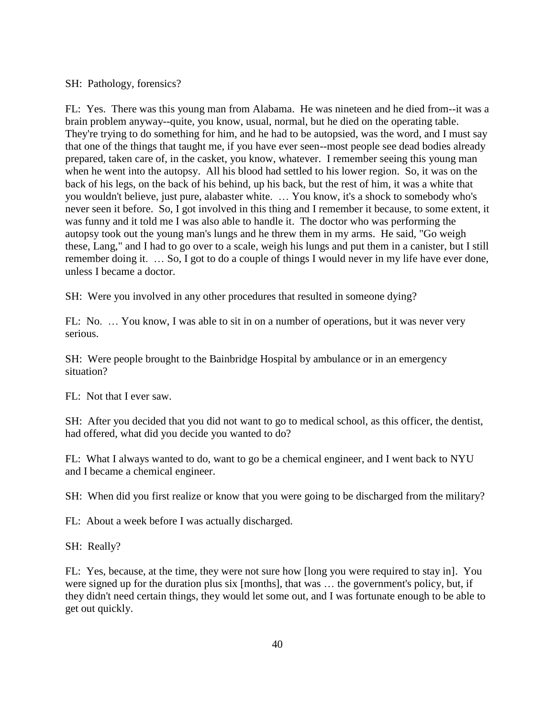#### SH: Pathology, forensics?

FL: Yes. There was this young man from Alabama. He was nineteen and he died from--it was a brain problem anyway--quite, you know, usual, normal, but he died on the operating table. They're trying to do something for him, and he had to be autopsied, was the word, and I must say that one of the things that taught me, if you have ever seen--most people see dead bodies already prepared, taken care of, in the casket, you know, whatever. I remember seeing this young man when he went into the autopsy. All his blood had settled to his lower region. So, it was on the back of his legs, on the back of his behind, up his back, but the rest of him, it was a white that you wouldn't believe, just pure, alabaster white. … You know, it's a shock to somebody who's never seen it before. So, I got involved in this thing and I remember it because, to some extent, it was funny and it told me I was also able to handle it. The doctor who was performing the autopsy took out the young man's lungs and he threw them in my arms. He said, "Go weigh these, Lang," and I had to go over to a scale, weigh his lungs and put them in a canister, but I still remember doing it. … So, I got to do a couple of things I would never in my life have ever done, unless I became a doctor.

SH: Were you involved in any other procedures that resulted in someone dying?

FL: No. … You know, I was able to sit in on a number of operations, but it was never very serious.

SH: Were people brought to the Bainbridge Hospital by ambulance or in an emergency situation?

FL: Not that I ever saw.

SH: After you decided that you did not want to go to medical school, as this officer, the dentist, had offered, what did you decide you wanted to do?

FL: What I always wanted to do, want to go be a chemical engineer, and I went back to NYU and I became a chemical engineer.

SH: When did you first realize or know that you were going to be discharged from the military?

FL: About a week before I was actually discharged.

SH: Really?

FL: Yes, because, at the time, they were not sure how [long you were required to stay in]. You were signed up for the duration plus six [months], that was … the government's policy, but, if they didn't need certain things, they would let some out, and I was fortunate enough to be able to get out quickly.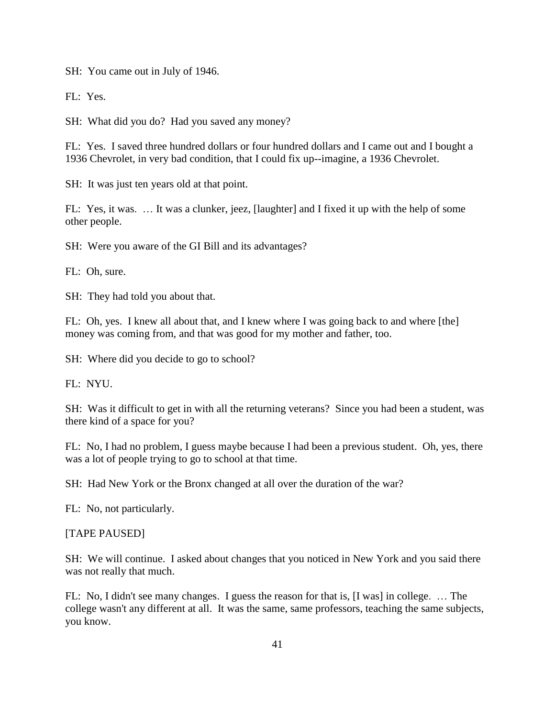SH: You came out in July of 1946.

FL: Yes.

SH: What did you do? Had you saved any money?

FL: Yes. I saved three hundred dollars or four hundred dollars and I came out and I bought a 1936 Chevrolet, in very bad condition, that I could fix up--imagine, a 1936 Chevrolet.

SH: It was just ten years old at that point.

FL: Yes, it was. … It was a clunker, jeez, [laughter] and I fixed it up with the help of some other people.

SH: Were you aware of the GI Bill and its advantages?

FL: Oh, sure.

SH: They had told you about that.

FL: Oh, yes. I knew all about that, and I knew where I was going back to and where [the] money was coming from, and that was good for my mother and father, too.

SH: Where did you decide to go to school?

FL: NYU.

SH: Was it difficult to get in with all the returning veterans? Since you had been a student, was there kind of a space for you?

FL: No, I had no problem, I guess maybe because I had been a previous student. Oh, yes, there was a lot of people trying to go to school at that time.

SH: Had New York or the Bronx changed at all over the duration of the war?

FL: No, not particularly.

#### [TAPE PAUSED]

SH: We will continue. I asked about changes that you noticed in New York and you said there was not really that much.

FL: No, I didn't see many changes. I guess the reason for that is, [I was] in college. … The college wasn't any different at all. It was the same, same professors, teaching the same subjects, you know.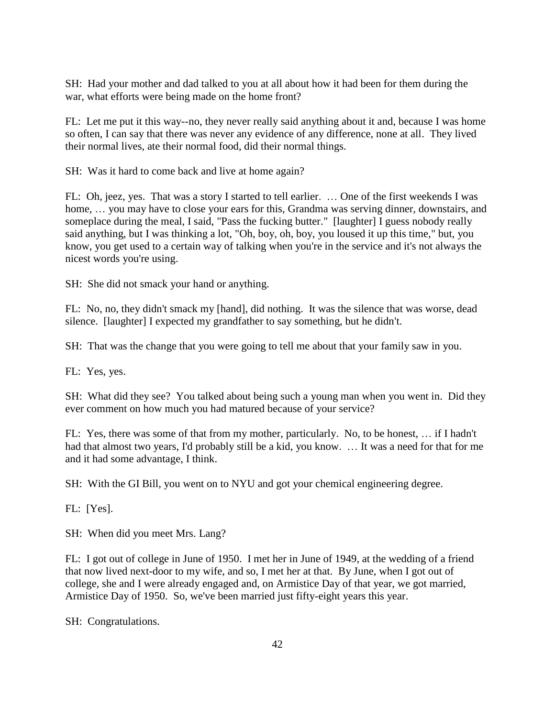SH: Had your mother and dad talked to you at all about how it had been for them during the war, what efforts were being made on the home front?

FL: Let me put it this way--no, they never really said anything about it and, because I was home so often, I can say that there was never any evidence of any difference, none at all. They lived their normal lives, ate their normal food, did their normal things.

SH: Was it hard to come back and live at home again?

FL: Oh, jeez, yes. That was a story I started to tell earlier. … One of the first weekends I was home, ... you may have to close your ears for this, Grandma was serving dinner, downstairs, and someplace during the meal, I said, "Pass the fucking butter." [laughter] I guess nobody really said anything, but I was thinking a lot, "Oh, boy, oh, boy, you loused it up this time," but, you know, you get used to a certain way of talking when you're in the service and it's not always the nicest words you're using.

SH: She did not smack your hand or anything.

FL: No, no, they didn't smack my [hand], did nothing. It was the silence that was worse, dead silence. [laughter] I expected my grandfather to say something, but he didn't.

SH: That was the change that you were going to tell me about that your family saw in you.

FL: Yes, yes.

SH: What did they see? You talked about being such a young man when you went in. Did they ever comment on how much you had matured because of your service?

FL: Yes, there was some of that from my mother, particularly. No, to be honest, … if I hadn't had that almost two years, I'd probably still be a kid, you know. … It was a need for that for me and it had some advantage, I think.

SH: With the GI Bill, you went on to NYU and got your chemical engineering degree.

FL: [Yes].

SH: When did you meet Mrs. Lang?

FL: I got out of college in June of 1950. I met her in June of 1949, at the wedding of a friend that now lived next-door to my wife, and so, I met her at that. By June, when I got out of college, she and I were already engaged and, on Armistice Day of that year, we got married, Armistice Day of 1950. So, we've been married just fifty-eight years this year.

SH: Congratulations.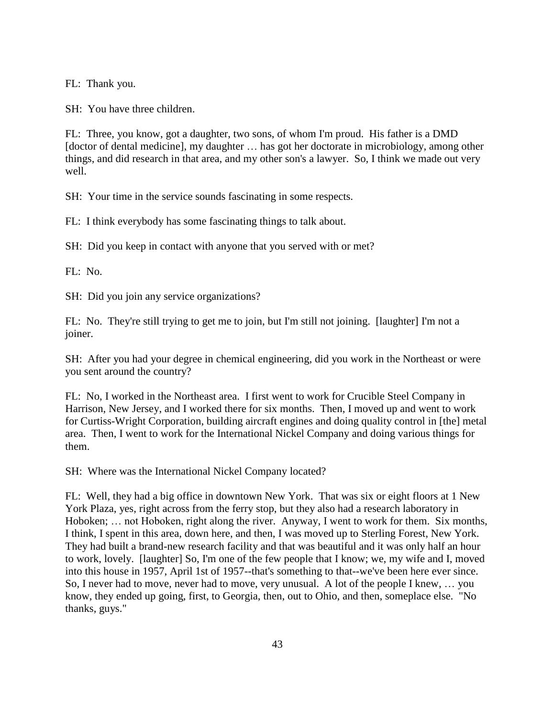FL: Thank you.

SH: You have three children.

FL: Three, you know, got a daughter, two sons, of whom I'm proud. His father is a DMD [doctor of dental medicine], my daughter … has got her doctorate in microbiology, among other things, and did research in that area, and my other son's a lawyer. So, I think we made out very well.

SH: Your time in the service sounds fascinating in some respects.

FL: I think everybody has some fascinating things to talk about.

SH: Did you keep in contact with anyone that you served with or met?

FL: No.

SH: Did you join any service organizations?

FL: No. They're still trying to get me to join, but I'm still not joining. [laughter] I'm not a joiner.

SH: After you had your degree in chemical engineering, did you work in the Northeast or were you sent around the country?

FL: No, I worked in the Northeast area. I first went to work for Crucible Steel Company in Harrison, New Jersey, and I worked there for six months. Then, I moved up and went to work for Curtiss-Wright Corporation, building aircraft engines and doing quality control in [the] metal area. Then, I went to work for the International Nickel Company and doing various things for them.

SH: Where was the International Nickel Company located?

FL: Well, they had a big office in downtown New York. That was six or eight floors at 1 New York Plaza, yes, right across from the ferry stop, but they also had a research laboratory in Hoboken; … not Hoboken, right along the river. Anyway, I went to work for them. Six months, I think, I spent in this area, down here, and then, I was moved up to Sterling Forest, New York. They had built a brand-new research facility and that was beautiful and it was only half an hour to work, lovely. [laughter] So, I'm one of the few people that I know; we, my wife and I, moved into this house in 1957, April 1st of 1957--that's something to that--we've been here ever since. So, I never had to move, never had to move, very unusual. A lot of the people I knew, … you know, they ended up going, first, to Georgia, then, out to Ohio, and then, someplace else. "No thanks, guys."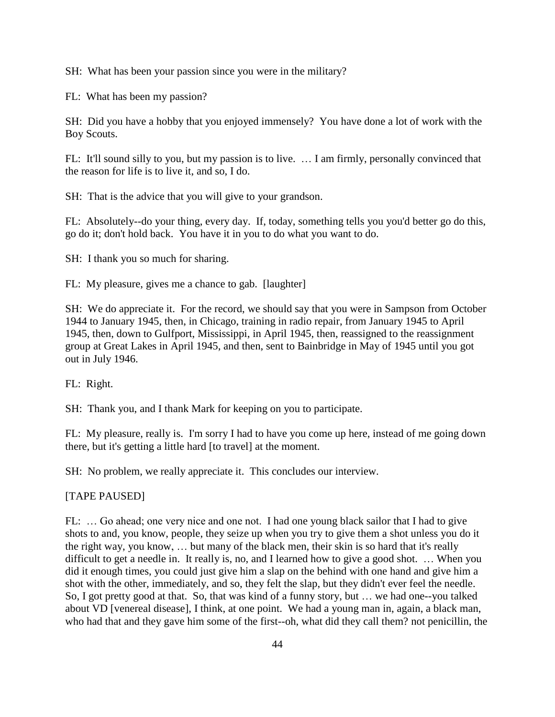SH: What has been your passion since you were in the military?

FL: What has been my passion?

SH: Did you have a hobby that you enjoyed immensely? You have done a lot of work with the Boy Scouts.

FL: It'll sound silly to you, but my passion is to live. … I am firmly, personally convinced that the reason for life is to live it, and so, I do.

SH: That is the advice that you will give to your grandson.

FL: Absolutely--do your thing, every day. If, today, something tells you you'd better go do this, go do it; don't hold back. You have it in you to do what you want to do.

SH: I thank you so much for sharing.

FL: My pleasure, gives me a chance to gab. [laughter]

SH: We do appreciate it. For the record, we should say that you were in Sampson from October 1944 to January 1945, then, in Chicago, training in radio repair, from January 1945 to April 1945, then, down to Gulfport, Mississippi, in April 1945, then, reassigned to the reassignment group at Great Lakes in April 1945, and then, sent to Bainbridge in May of 1945 until you got out in July 1946.

FL: Right.

SH: Thank you, and I thank Mark for keeping on you to participate.

FL: My pleasure, really is. I'm sorry I had to have you come up here, instead of me going down there, but it's getting a little hard [to travel] at the moment.

SH: No problem, we really appreciate it. This concludes our interview.

[TAPE PAUSED]

FL: … Go ahead; one very nice and one not. I had one young black sailor that I had to give shots to and, you know, people, they seize up when you try to give them a shot unless you do it the right way, you know, … but many of the black men, their skin is so hard that it's really difficult to get a needle in. It really is, no, and I learned how to give a good shot. … When you did it enough times, you could just give him a slap on the behind with one hand and give him a shot with the other, immediately, and so, they felt the slap, but they didn't ever feel the needle. So, I got pretty good at that. So, that was kind of a funny story, but … we had one--you talked about VD [venereal disease], I think, at one point. We had a young man in, again, a black man, who had that and they gave him some of the first--oh, what did they call them? not penicillin, the